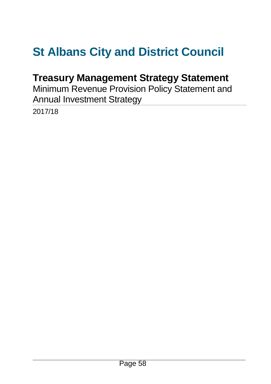# **St Albans City and District Council**

# **Treasury Management Strategy Statement**

Minimum Revenue Provision Policy Statement and Annual Investment Strategy

2017/18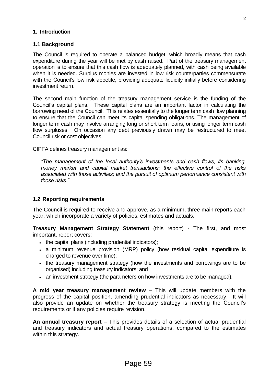#### **1. Introduction**

#### **1.1 Background**

The Council is required to operate a balanced budget, which broadly means that cash expenditure during the year will be met by cash raised. Part of the treasury management operation is to ensure that this cash flow is adequately planned, with cash being available when it is needed. Surplus monies are invested in low risk counterparties commensurate with the Council's low risk appetite, providing adequate liquidity initially before considering investment return.

The second main function of the treasury management service is the funding of the Council's capital plans. These capital plans are an important factor in calculating the borrowing need of the Council. This relates essentially to the longer term cash flow planning to ensure that the Council can meet its capital spending obligations. The management of longer term cash may involve arranging long or short term loans, or using longer term cash flow surpluses. On occasion any debt previously drawn may be restructured to meet Council risk or cost objectives.

CIPFA defines treasury management as:

*"The management of the local authority's investments and cash flows, its banking, money market and capital market transactions; the effective control of the risks associated with those activities; and the pursuit of optimum performance consistent with those risks."*

#### **1.2 Reporting requirements**

The Council is required to receive and approve, as a minimum, three main reports each year, which incorporate a variety of policies, estimates and actuals.

**Treasury Management Strategy Statement** (this report) - The first, and most important, report covers:

- . the capital plans (including prudential indicators);
- a minimum revenue provision (MRP) policy (how residual capital expenditure is charged to revenue over time);
- the treasury management strategy (how the investments and borrowings are to be organised) including treasury indicators; and
- an investment strategy (the parameters on how investments are to be managed).

**A mid year treasury management review** – This will update members with the progress of the capital position, amending prudential indicators as necessary. It will also provide an update on whether the treasury strategy is meeting the Council's requirements or if any policies require revision.

**An annual treasury report** – This provides details of a selection of actual prudential and treasury indicators and actual treasury operations, compared to the estimates within this strategy.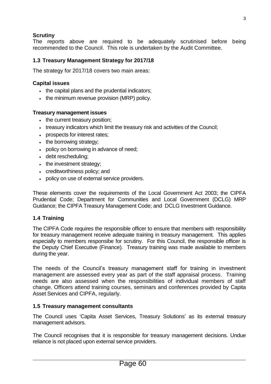# **Scrutiny**

The reports above are required to be adequately scrutinised before being recommended to the Council. This role is undertaken by the Audit Committee.

# **1.3 Treasury Management Strategy for 2017/18**

The strategy for 2017/18 covers two main areas:

#### **Capital issues**

- . the capital plans and the prudential indicators;
- the minimum revenue provision (MRP) policy.

#### **Treasury management issues**

- the current treasury position:
- treasury indicators which limit the treasury risk and activities of the Council;
- prospects for interest rates;
- the borrowing strategy;
- policy on borrowing in advance of need;
- debt rescheduling;
- the investment strategy;
- creditworthiness policy; and
- policy on use of external service providers.

These elements cover the requirements of the Local Government Act 2003; the CIPFA Prudential Code; Department for Communities and Local Government (DCLG) MRP Guidance; the CIPFA Treasury Management Code; and DCLG Investment Guidance.

# **1.4 Training**

The CIPFA Code requires the responsible officer to ensure that members with responsibility for treasury management receive adequate training in treasury management. This applies especially to members responsibe for scrutiny. For this Council, the responsible officer is the Deputy Chief Executive (Finance). Treasury training was made available to members during the year.

The needs of the Council's treasury management staff for training in investment management are assessed every year as part of the staff appraisal process. Training needs are also assessed when the responsibilities of individual members of staff change. Officers attend training courses, seminars and conferences provided by Capita Asset Services and CIPFA, regularly.

#### **1.5 Treasury management consultants**

The Council uses 'Capita Asset Services, Treasury Solutions' as its external treasury management advisors.

The Council recognises that it is responsible for treasury management decisions. Undue reliance is not placed upon external service providers.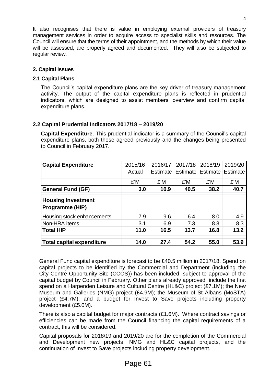It also recognises that there is value in employing external providers of treasury management services in order to acquire access to specialist skills and resources. The Council will ensure that the terms of their appointment, and the methods by which their value will be assessed, are properly agreed and documented. They will also be subjected to regular review.

#### **2. Capital Issues**

#### **2.1 Capital Plans**

The Council's capital expenditure plans are the key driver of treasury management activity. The output of the capital expenditure plans is reflected in prudential indicators, which are designed to assist members' overview and confirm capital expenditure plans.

#### **2.2 Capital Prudential Indicators 2017/18 – 2019/20**

**Capital Expenditure**. This prudential indicator is a summary of the Council's capital expenditure plans, both those agreed previously and the changes being presented to Council in February 2017.

| <b>Capital Expenditure</b>                   | 2015/16 | 2016/17  | 2017/18 | 2018/19                    | 2019/20 |
|----------------------------------------------|---------|----------|---------|----------------------------|---------|
|                                              | Actual  | Estimate |         | Estimate Estimate Estimate |         |
|                                              | £'M     | £'M      | £'M     | £'M                        | £'M     |
| <b>General Fund (GF)</b>                     | 3.0     | 10.9     | 40.5    | 38.2                       | 40.7    |
| <b>Housing Investment</b><br>Programme (HIP) |         |          |         |                            |         |
| Housing stock enhancements                   | 7.9     | 9.6      | 6.4     | 8.0                        | 4.9     |
| Non-HRA items                                | 3.1     | 6.9      | 7.3     | 8.8                        | 8.3     |
| <b>Total HIP</b>                             | 11.0    | 16.5     | 13.7    | 16.8                       | 13.2    |
| Total capital expenditure                    | 14.0    | 27.4     | 54.2    | 55.0                       | 53.9    |

General Fund capital expenditure is forecast to be £40.5 million in 2017/18. Spend on capital projects to be identified by the Commercial and Department (including the City Centre Opportunity Site (CCOS)) has been included, subject to approval of the capital budget by Council in February. Other plans already approved include the first spend on a Harpenden Leisure and Cultural Centre (HL&C) project (£7.1M); the New Museum and Galleries (NMG) project (£4.9M); the Museum of St Albans (MoSTA) project (£4.7M); and a budget for Invest to Save projects including property development (£5.0M).

There is also a capital budget for major contracts (£1.6M). Where contract savings or efficiencies can be made from the Council financing the capital requirements of a contract, this will be considered.

Capital proposals for 2018/19 and 2019/20 are for the completion of the Commercial and Development new projects, NMG and HL&C capital projects, and the continuation of Invest to Save projects including property development.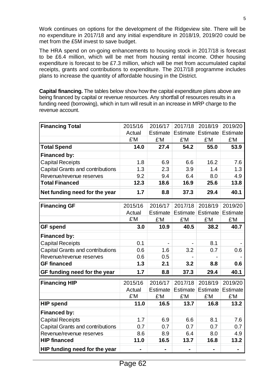Work continues on options for the development of the Ridgeview site. There will be no expenditure in 2017/18 and any initial expenditure in 2018/19, 2019/20 could be met from the £5M invest to save budget.

The HRA spend on on-going enhancements to housing stock in 2017/18 is forecast to be £6.4 million, which will be met from housing rental income. Other housing expenditure is forecast to be £7.3 million, which will be met from accumulated capital receipts, grants and contributions to expenditure. The 2017/18 programme includes plans to increase the quantity of affordable housing in the District.

**Capital financing.** The tables below show how the capital expenditure plans above are being financed by capital or revenue resources. Any shortfall of resources results in a funding need (borrowing), which in turn will result in an increase in MRP charge to the revenue account.

| <b>Financing Total</b>                  | 2015/16 | 2016/17  | 2017/18  | 2018/19           | 2019/20         |
|-----------------------------------------|---------|----------|----------|-------------------|-----------------|
|                                         | Actual  | Estimate | Estimate | Estimate Estimate |                 |
|                                         | £'M     | £'M      | £'M      | £'M               | £'M             |
| <b>Total Spend</b>                      | 14.0    | 27.4     | 54.2     | 55.0              | 53.9            |
| <b>Financed by:</b>                     |         |          |          |                   |                 |
| <b>Capital Receipts</b>                 | 1.8     | 6.9      | 6.6      | 16.2              | 7.6             |
| <b>Capital Grants and contributions</b> | 1.3     | 2.3      | 3.9      | 1.4               | 1.3             |
| Revenue/revenue reserves                | 9.2     | 9.4      | 6.4      | 8.0               | 4.9             |
| <b>Total Financed</b>                   | 12.3    | 18.6     | 16.9     | 25.6              | 13.8            |
| Net funding need for the year           | 1.7     | 8.8      | 37.3     | 29.4              | 40.1            |
| <b>Financing GF</b>                     | 2015/16 | 2016/17  | 2017/18  | 2018/19           | 2019/20         |
|                                         | Actual  | Estimate | Estimate | Estimate          | Estimate        |
|                                         | £'M     | £'M      | £'M      | £'M               | £'M             |
| <b>GF spend</b>                         | 3.0     | 10.9     | 40.5     | 38.2              | 40.7            |
| <b>Financed by:</b>                     |         |          |          |                   |                 |
| <b>Capital Receipts</b>                 | 0.1     |          |          | 8.1               |                 |
| <b>Capital Grants and contributions</b> | 0.6     | 1.6      | 3.2      | 0.7               | 0.6             |
| Revenue/revenue reserves                | 0.6     | 0.5      |          |                   |                 |
| <b>GF</b> financed                      | 1.3     | 2.1      | 3.2      | 8.8               | 0.6             |
| GF funding need for the year            | 1.7     | 8.8      | 37.3     | 29.4              | 40.1            |
| <b>Financing HIP</b>                    | 2015/16 | 2016/17  | 2017/18  | 2018/19           | 2019/20         |
|                                         | Actual  | Estimate | Estimate | Estimate          | <b>Estimate</b> |
|                                         | £'M     | £'M      | £'M      | £'M               | £'M             |
| <b>HIP spend</b>                        | 11.0    | 16.5     | 13.7     | 16.8              | 13.2            |
| <b>Financed by:</b>                     |         |          |          |                   |                 |
| <b>Capital Receipts</b>                 | 1.7     | 6.9      | 6.6      | 8.1               | 7.6             |
| Capital Grants and contributions        | 0.7     | 0.7      | 0.7      | 0.7               | 0.7             |
| Revenue/revenue reserves                | 8.6     | 8.9      | 6.4      | 8.0               | 4.9             |
| <b>HIP financed</b>                     | 11.0    | 16.5     | 13.7     | 16.8              | 13.2            |
| HIP funding need for the year           |         |          |          |                   |                 |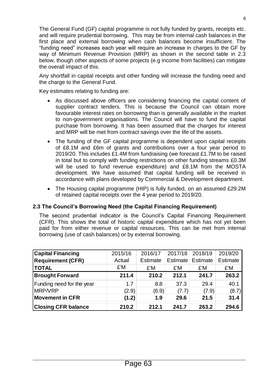The General Fund (GF) capital programme is not fully funded by grants, receipts etc. and will require prudential borrowing. This may be from internal cash balances in the first place and external borrowing when cash balances become insufficient. The "funding need" increases each year will require an increase in charges to the GF by way of Minimum Revenue Provision (MRP) as shown in the second table in 2.3 below, though other aspects of some projects (e.g income from facilities) can mitigate the overall impact of this.

Any shortfall in capital receipts and other funding will increase the funding need and the charge to the General Fund.

Key estimates relating to funding are:

- As discussed above officers are considering financing the capital content of supplier contract tenders. This is because the Council can obtain more favourable interest rates on borrowing than is generally available in the market to non-government organisations. The Council will have to fund the capital purchase from borrowing. It has been assumed that the charges for interest and MRP will be met from contract savings over the life of the assets.
- The funding of the GF capital programme is dependent upon capital receipts of £8.1M and £6m of grants and contributions over a four year period to 2019/20. This includes £1.4M from fundraising (we forecast £1.7M to be raised in total but to comply with funding restrictions on other funding streams £0.3M will be used to fund revenue expenditure) and £8.1M from the MOSTA development. We have assumed that capital funding will be received in accordance with plans developed by Commercial & Development department.
- The Housing capital programme (HIP) is fully funded, on an assumed £29.2M of retained capital receipts over the 4 year period to 2019/20.

#### **2.3 The Council's Borrowing Need (the Capital Financing Requirement)**

The second prudential indicator is the Council's Capital Financing Requirement (CFR). This shows the total of historic capital expenditure which has not yet been paid for from either revenue or capital resources. This can be met from internal borrowing (use of cash balances) or by external borrowing.

| <b>Capital Financing</b>   | 2015/16 | 2016/17         | 2017/18  | 2018/19  | 2019/20         |
|----------------------------|---------|-----------------|----------|----------|-----------------|
| <b>Requirement (CFR)</b>   | Actual  | <b>Estimate</b> | Estimate | Estimate | <b>Estimate</b> |
| <b>TOTAL</b>               | £'M     | £'M             | £'M      | £'M      | £'M             |
| <b>Brought Forward</b>     | 211.4   | 210.2           | 212.1    | 241.7    | 263.2           |
| Funding need for the year  | 1.7     | 8.8             | 37.3     | 29.4     | 40.1            |
| <b>MRP/VRP</b>             | (2.9)   | (6.9)           | (7.7)    | (7.9)    | (8.7)           |
| <b>Movement in CFR</b>     | (1.2)   | 1.9             | 29.6     | 21.5     | 31.4            |
| <b>Closing CFR balance</b> | 210.2   | 212.1           | 241.7    | 263.2    | 294.6           |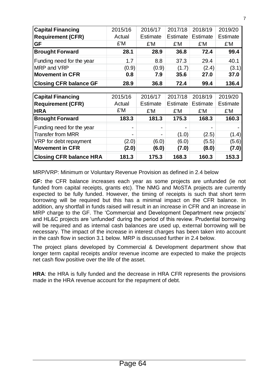| <b>Capital Financing</b>      | 2015/16 | 2016/17  | 2017/18  | 2018/19  | 2019/20  |
|-------------------------------|---------|----------|----------|----------|----------|
| <b>Requirement (CFR)</b>      | Actual  | Estimate | Estimate | Estimate | Estimate |
| <b>GF</b>                     | £'M     | £'M      | £'M      | £'M      | £'M      |
| <b>Brought Forward</b>        | 28.1    | 28.9     | 36.8     | 72.4     | 99.4     |
| Funding need for the year     | 1.7     | 8.8      | 37.3     | 29.4     | 40.1     |
| MRP and VRP                   | (0.9)   | (0.9)    | (1.7)    | (2.4)    | (3.1)    |
| <b>Movement in CFR</b>        | 0.8     | 7.9      | 35.6     | 27.0     | 37.0     |
| <b>Closing CFR balance GF</b> | 28.9    | 36.8     | 72.4     | 99.4     | 136.4    |
|                               |         |          |          |          |          |
| $C$ anital Financing          | 2015/16 | 2016/17  | 2017/18  | 2018/19  | 2019/20  |

| <b>Capital Financing</b>       | 2015/16                  | 2016/17                  | 2017/18        | 2018/19  | 2019/20         |
|--------------------------------|--------------------------|--------------------------|----------------|----------|-----------------|
| <b>Requirement (CFR)</b>       | Actual                   | Estimate                 | Estimate       | Estimate | <b>Estimate</b> |
| <b>HRA</b>                     | £'M                      | £'M                      | £'M            | £'M      | £'M             |
| <b>Brought Forward</b>         | 183.3                    | 181.3                    | 175.3          | 168.3    | 160.3           |
| Funding need for the year      | $\overline{\phantom{0}}$ | $\overline{\phantom{0}}$ | $\blacksquare$ |          |                 |
| Transfer from MRR              | $\blacksquare$           |                          | (1.0)          | (2.5)    | (1.4)           |
| VRP for debt repayment         | (2.0)                    | (6.0)                    | (6.0)          | (5.5)    | (5.6)           |
| <b>Movement in CFR</b>         | (2.0)                    | (6.0)                    | (7.0)          | (8.0)    | (7.0)           |
| <b>Closing CFR balance HRA</b> | 181.3                    | 175.3                    | 168.3          | 160.3    | 153.3           |

MRP/VRP: Minimum or Voluntary Revenue Provision as defined in 2.4 below

**GF:** the CFR balance increases each year as some projects are unfunded (ie not funded from capital receipts, grants etc). The NMG and MoSTA projects are currently expected to be fully funded. However, the timing of receipts is such that short term borrowing will be required but this has a minimal impact on the CFR balance. In addition, any shortfall in funds raised will result in an increase in CFR and an increase in MRP charge to the GF. The 'Commercial and Development Department new projects' and HL&C projects are 'unfunded' during the period of this review. Prudential borrowing will be required and as internal cash balances are used up, external borrowing will be necessary. The impact of the increase in interest charges has been taken into account in the cash flow in section 3.1 below. MRP is discussed further in 2.4 below.

The project plans developed by Commercial & Development department show that longer term capital receipts and/or revenue income are expected to make the projects net cash flow positive over the life of the asset.

**HRA**: the HRA is fully funded and the decrease in HRA CFR represents the provisions made in the HRA revenue account for the repayment of debt.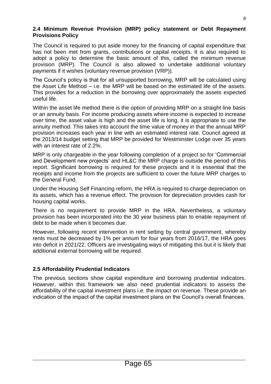The Council is required to put aside money for the financing of capital expenditure that has not been met from grants, contributions or capital receipts. It is also required to adopt a policy to determine the basic amount of this, called the minimum revenue provision (MRP). The Council is also allowed to undertake additional voluntary payments if it wishes (voluntary revenue provision (VRP)).

The Council's policy is that for all unsupported borrowing, MRP will be calculated using the Asset Life Method – i.e. the MRP will be based on the estimated life of the assets. This provides for a reduction in the borrowing over approximately the assets expected useful life.

Within the asset life method there is the option of providing MRP on a straight line basis or an annuity basis. For income producing assets where income is expected to increase over time, the asset value is high and the asset life is long, it is appropriate to use the annuity method. This takes into account the time value of money in that the annual MRP provision increases each year in line with an estimated interest rate. Council agreed at the 2013/14 budget setting that MRP be provided for Westminster Lodge over 35 years with an interest rate of 2.2%.

MRP is only chargeable in the year following completion of a project so for 'Commercial and Development new projects' and HL&C the MRP charge is outside the period of this report. Significant borrowing is required for these projects and it is essential that the receipts and income from the projects are sufficient to cover the future MRP charges to the General Fund.

Under the Housing Self Financing reform, the HRA is required to charge depreciation on its assets, which has a revenue effect. The provision for depreciation provides cash for housing capital works.

There is no requirement to provide MRP in the HRA. Nevertheless, a voluntary provision has been incorporated into the 30 year business plan to enable repayment of debt to be made when it becomes due.

However, following recent intervention in rent setting by central government, whereby rents must be decreased by 1% per annum for four years from 2016/17, the HRA goes into deficit in 2021/22. Officers are investigating ways of mitigating this but it is likely that additional external borrowing will be required.

# **2.5 Affordability Prudential Indicators**

The previous sections show capital expenditure and borrowing prudential indicators. However, within this framework we also need prudential indicators to assess the affordability of the capital investment plans i.e. the impact on revenue. These provide an indication of the impact of the capital investment plans on the Council's overall finances.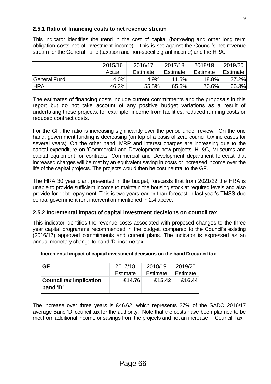#### **2.5.1 Ratio of financing costs to net revenue stream**

This indicator identifies the trend in the cost of capital (borrowing and other long term obligation costs net of investment income). This is set against the Council's net revenue stream for the General Fund (taxation and non-specific grant income) and the HRA.

|              | 2015/16 | 2016/17  | 2017/18  | 2018/19  | 2019/20  |
|--------------|---------|----------|----------|----------|----------|
|              | Actual  | Estimate | Estimate | Estimate | Estimate |
| General Fund | 4.0%    | 4.9%     | 11.5%    | 18.8%    | 27.2%    |
| <b>HRA</b>   | 46.3%   | 55.5%    | 65.6%    | 70.6%    | 66.3%    |

The estimates of financing costs include current commitments and the proposals in this report but do not take account of any positive budget variations as a result of undertaking these projects, for example, income from facilities, reduced running costs or reduced contract costs.

For the GF, the ratio is increasing significantly over the period under review. On the one hand, government funding is decreasing (on top of a basis of zero council tax increases for several years). On the other hand, MRP and interest charges are increasing due to the capital expenditure on 'Commercial and Development new projects, HL&C, Museums and capital equipment for contracts. Commercial and Development department forecast that increased charges will be met by an equivalent saving in costs or increased income over the life of the capital projects. The projects would then be cost neutral to the GF.

The HRA 30 year plan, presented in the budget, forecasts that from 2021/22 the HRA is unable to provide sufficient income to maintain the housing stock at required levels and also provide for debt repayment. This is two years earlier than forecast in last year's TMSS due central government rent intervention mentioned in 2.4 above.

#### **2.5.2 Incremental impact of capital investment decisions on council tax**

This indicator identifies the revenue costs associated with proposed changes to the three year capital programme recommended in the budget, compared to the Council's existing (2016/17) approved commitments and current plans. The indicator is expressed as an annual monetary change to band 'D' income tax.

| <b>GF</b>                                         | 2017/18  | 2018/19  | 2019/20  |
|---------------------------------------------------|----------|----------|----------|
|                                                   | Estimate | Estimate | Estimate |
| <b>Council tax implication</b><br><b>band 'D'</b> | £14.76   | £15.42   | £16.44   |

#### **Incremental impact of capital investment decisions on the band D council tax**

The increase over three years is £46.62, which represents 27% of the SADC 2016/17 average Band 'D' council tax for the authority. Note that the costs have been planned to be met from additional income or savings from the projects and not an increase in Council Tax.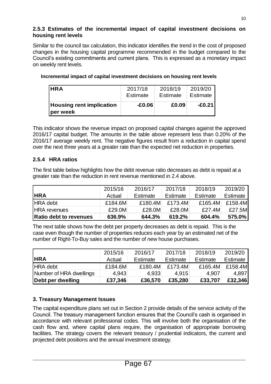#### **2.5.3 Estimates of the incremental impact of capital investment decisions on housing rent levels**

Similar to the council tax calculation, this indicator identifies the trend in the cost of proposed changes in the housing capital programme recommended in the budget compared to the Council's existing commitments and current plans. This is expressed as a monetary impact on weekly rent levels.

| <b>IHRA</b>                                 | 2017/18  | 2018/19  | 2019/20  |
|---------------------------------------------|----------|----------|----------|
|                                             | Estimate | Estimate | Estimate |
| <b>Housing rent implication</b><br>per week | $-E0.06$ | £0.09    | -£0.21 l |

#### **Incremental impact of capital investment decisions on housing rent levels**

This indicator shows the revenue impact on proposed capital changes against the approved 2016/17 capital budget. The amounts in the table above represent less than 0.20% of the 2016/17 average weekly rent. The negative figures result from a reduction in capital spend over the next three years at a greater rate than the expected net reduction in properties.

# **2.5.4 HRA ratios**

The first table below highlights how the debt revenue ratio decreases as debt is repaid at a greater rate than the reduction in rent revenue mentioned in 2.4 above.

|                               | 2015/16 | 2016/17  | 2017/18  | 2018/19  | 2019/20  |
|-------------------------------|---------|----------|----------|----------|----------|
| <b>HRA</b>                    | Actual  | Estimate | Estimate | Estimate | Estimate |
| <b>HRA</b> debt               | £184.6M | £180.4M  | £173.4M  | £165.4M  | £158.4M  |
| <b>HRA</b> revenues           | £29.0M  | £28.0M   | £28.0M   | £27.4M   | £27.5M   |
| <b>Ratio debt to revenues</b> | 636.9%  | 644.3%   | 619.2%   | 604.4%   | 575.0%   |

The next table shows how the debt per property decreases as debt is repaid. This is the case even though the number of properties reduces each year by an estimated net of the number of Right-To-Buy sales and the number of new house purchases.

| Debt per dwelling       | £37,346 | £36,570  | £35,280  | £33,707  | £32,346  |
|-------------------------|---------|----------|----------|----------|----------|
| Number of HRA dwellings | 4,943   | 4.933    | 4.915    | 4.907    | 4,897    |
| <b>HRA</b> debt         | £184.6M | £180.4M  | £173.4M  | £165.4M  | £158.4M  |
| <b>HRA</b>              | Actual  | Estimate | Estimate | Estimate | Estimate |
|                         | 2015/16 | 2016/17  | 2017/18  | 2018/19  | 2019/20  |

# **3. Treasury Management Issues**

The capital expenditure plans set out in Section 2 provide details of the service activity of the Council. The treasury management function ensures that the Council's cash is organised in accordance with relevant professional codes. This will involve both the organisation of the cash flow and, where capital plans require, the organisation of appropriate borrowing facilities. The strategy covers the relevant treasury / prudential indicators, the current and projected debt positions and the annual investment strategy.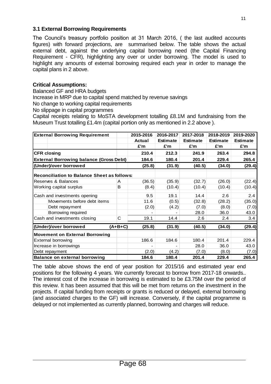#### **3.1 External Borrowing Requirements**

The Council's treasury portfolio position at 31 March 2016, ( the last audited accounts figures) with forward projections, are summarised below. The table shows the actual external debt, against the underlying capital borrowing need (the Capital Financing Requirement - CFR), highlighting any over or under borrowing. The model is used to highlight any amounts of external borrowing required each year in order to manage the capital plans in 2 above.

#### **Critical Assumptions:**

Balanced GF and HRA budgets

Increase in MRP due to capital spend matched by revenue savings

No change to working capital requirements

No slippage in capital programmes

Capital receipts relating to MoSTA development totalling £8.1M and fundraising from the Museum Trust totalling £1.4m (capital portion only as mentioned in 2.2 above ).

| <b>External Borrowing Requirement</b>              |           | 2015-2016     | 2016-2017       | 2017-2018       | 2018-2019       | 2019-2020       |
|----------------------------------------------------|-----------|---------------|-----------------|-----------------|-----------------|-----------------|
|                                                    |           | <b>Actual</b> | <b>Estimate</b> | <b>Estimate</b> | <b>Estimate</b> | <b>Estimate</b> |
|                                                    |           | £'m           | £'m             | £'m             | £'m             | £'m             |
| <b>CFR closing</b>                                 |           | 210.4         | 212.3           | 241.9           | 263.4           | 294.8           |
| <b>External Borrowing balance (Gross Debt)</b>     |           | 184.6         | 180.4           | 201.4           | 229.4           | 265.4           |
| (Under)/over borrowed                              |           | (25.8)        | (31.9)          | (40.5)          | (34.0)          | (29.4)          |
| <b>Reconciliation to Balance Sheet as follows:</b> |           |               |                 |                 |                 |                 |
| Reserves & Balances                                | A         | (36.5)        | (35.9)          | (32.7)          | (26.0)          | (22.4)          |
| Working capital surplus                            | B         | (8.4)         | (10.4)          | (10.4)          | (10.4)          | (10.4)          |
| Cash and investments opening                       |           | 9.5           | 19.1            | 14.4            | 2.6             | 2.4             |
| Movements before debt items                        |           | 11.6          | (0.5)           | (32.8)          | (28.2)          | (35.0)          |
| Debt repayment                                     |           | (2.0)         | (4.2)           | (7.0)           | (8.0)           | (7.0)           |
| Borrowing required                                 |           |               |                 | 28.0            | 36.0            | 43.0            |
| Cash and investments closing                       | C         | 19.1          | 14.4            | 2.6             | 2.4             | 3.4             |
| (Under)/over borrowed                              | $(A+B+C)$ | (25.8)        | (31.9)          | (40.5)          | (34.0)          | (29.4)          |
| <b>Movement on External Borrowing</b>              |           |               |                 |                 |                 |                 |
| <b>External borrowing</b>                          |           | 186.6         | 184.6           | 180.4           | 201.4           | 229.4           |
| Increase in borrowings                             |           |               |                 | 28.0            | 36.0            | 43.0            |
| Debt repayment                                     |           | (2.0)         | (4.2)           | (7.0)           | (8.0)           | (7.0)           |
| Balance on external borrowing                      |           | 184.6         | 180.4           | 201.4           | 229.4           | 265.4           |

The table above shows the end of year position for 2015/16 and estimated year end positions for the following 4 years. We currently forecast to borrow from 2017-18 onwards.. The interest cost of the increase in borrowing is estimated to be £3.75M over the period of this review. It has been assumed that this will be met from returns on the investment in the projects. If capital funding from receipts or grants is reduced or delayed, external borrowing (and associated charges to the GF) will increase. Conversely, if the capital programme is delayed or not implemented as currently planned, borrowing and charges will reduce.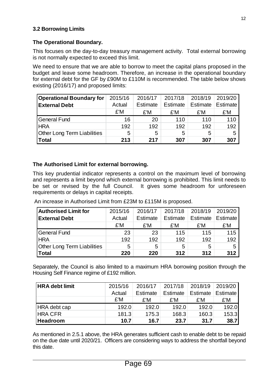#### **3.2 Borrowing Limits**

#### **The Operational Boundary.**

This focuses on the day-to-day treasury management activity. Total external borrowing is not normally expected to exceed this limit.

We need to ensure that we are able to borrow to meet the capital plans proposed in the budget and leave some headroom. Therefore, an increase in the operational boundary for external debt for the GF by £90M to £110M is recommended. The table below shows existing (2016/17) and proposed limits:

| <b>Operational Boundary for</b>    | 2015/16 | 2016/17  | 2017/18  | 2018/19  | 2019/20  |
|------------------------------------|---------|----------|----------|----------|----------|
| <b>External Debt</b>               | Actual  | Estimate | Estimate | Estimate | Estimate |
|                                    | £'M     | £'M      | £'M      | £'M      | £'M      |
| <b>General Fund</b>                | 16      | 20       | 110      | 110      | 110      |
| <b>HRA</b>                         | 192     | 192      | 192      | 192      | 192      |
| <b>Other Long Term Liabilities</b> | 5       | 5        | 5        | 5        | 5        |
| <b>Total</b>                       | 213     | 217      | 307      | 307      | 307      |

#### **The Authorised Limit for external borrowing.**

This key prudential indicator represents a control on the maximum level of borrowing and represents a limit beyond which external borrowing is prohibited. This limit needs to be set or revised by the full Council. It gives some headroom for unforeseen requirements or delays in capital receipts.

An increase in Authorised Limit from £23M to £115M is proposed.

| <b>Authorised Limit for</b>        | 2015/16 | 2016/17  | 2017/18  | 2018/19  | 2019/20  |
|------------------------------------|---------|----------|----------|----------|----------|
| <b>External Debt</b>               | Actual  | Estimate | Estimate | Estimate | Estimate |
|                                    | £'M     | £'M      | £'M      | £'M      | £'M      |
| General Fund                       | 23      | 23       | 115      | 115      | 115      |
| <b>HRA</b>                         | 192     | 192      | 192      | 192      | 192      |
| <b>Other Long Term Liabilities</b> | 5       | 5        | 5        | 5        | 5        |
| Total                              | 220     | 220      | 312      | 312      | 312      |

Separately, the Council is also limited to a maximum HRA borrowing position through the Housing Self Finance regime of £192 million.

| <b>HRA debt limit</b> | 2015/16 | 2016/17  | 2017/18  | 2018/19  | 2019/20         |
|-----------------------|---------|----------|----------|----------|-----------------|
|                       | Actual  | Estimate | Estimate | Estimate | <b>Estimate</b> |
|                       | £'M     | £'M      | £'M      | £'M      | £'M             |
| HRA debt cap          | 192.0   | 192.0    | 192.0    | 192.0    | 192.0           |
| <b>HRA CFR</b>        | 181.3   | 175.3    | 168.3    | 160.3    | 153.3           |
| <b>Headroom</b>       | 10.7    | 16.7     | 23.7     | 31.7     | 38.7            |

As mentioned in 2.5.1 above, the HRA generates sufficient cash to enable debt to be repaid on the due date until 2020/21. Officers are considering ways to address the shortfall beyond this date.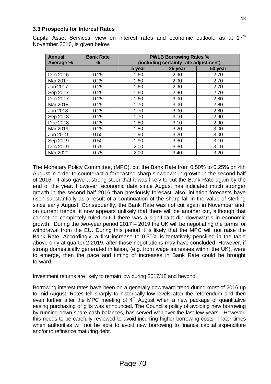#### **3.3 Prospects for Interest Rates**

Capita Asset Services' view on interest rates and economic outlook, as at 17<sup>th</sup> November 2016, is given below.

| <b>Annual</b> | <b>Bank Rate</b> | <b>PWLB Borrowing Rates %</b>         |         |         |  |  |  |  |  |
|---------------|------------------|---------------------------------------|---------|---------|--|--|--|--|--|
| Average %     | %                | (including certainty rate adjustment) |         |         |  |  |  |  |  |
|               |                  | 5 year                                | 25 year | 50 year |  |  |  |  |  |
| Dec 2016      | 0.25             | 1.60                                  | 2.90    | 2.70    |  |  |  |  |  |
| Mar 2017      | 0.25             | 1.60                                  | 2.90    | 2.70    |  |  |  |  |  |
| Jun 2017      | 0.25             | 1.60                                  | 2.90    | 2.70    |  |  |  |  |  |
| Sep 2017      | 0.25             | 1.60                                  | 2.90    | 2.70    |  |  |  |  |  |
| Dec 2017      | 0.25             | 1.60                                  | 3.00    | 2.80    |  |  |  |  |  |
| Mar 2018      | 0.25             | 1.70                                  | 3.00    | 2.80    |  |  |  |  |  |
| Jun 2018      | 0.25             | 1.70                                  | 3.00    | 2.80    |  |  |  |  |  |
| Sep 2018      | 0.25             | 1.70                                  | 3.10    | 2.90    |  |  |  |  |  |
| Dec 2018      | 0.25             | 1.80                                  | 3.10    | 2.90    |  |  |  |  |  |
| Mar 2019      | 0.25             | 1.80                                  | 3.20    | 3.00    |  |  |  |  |  |
| Jun 2019      | 0.50             | 1.90                                  | 3.20    | 3.00    |  |  |  |  |  |
| Sep 2019      | 0.50             | 1.90                                  | 3.30    | 3.10    |  |  |  |  |  |
| Dec 2019      | 0.75             | 2.00                                  | 3.30    | 3.10    |  |  |  |  |  |
| Mar 2020      | 0.75             | 2.00                                  | 3.40    | 3.20    |  |  |  |  |  |

The Monetary Policy Committee, (MPC), cut the Bank Rate from 0.50% to 0.25% on 4th August in order to counteract a forecasted sharp slowdown in growth in the second half of 2016. It also gave a strong steer that it was likely to cut the Bank Rate again by the end of the year. However, economic data since August has indicated much stronger growth in the second half 2016 than previously forecast; also, inflation forecasts have risen substantially as a result of a continuation of the sharp fall in the value of sterling since early August. Consequently, the Bank Rate was not cut again in November and, on current trends, it now appears unlikely that there will be another cut, although that cannot be completely ruled out if there was a significant dip downwards in economic growth. During the two-year period 2017 – 2019 the UK will be negotiating the terms for withdrawal from the EU. During this period it is likely that the MPC will not raise the Bank Rate. Accordingly, a first increase to 0.50% is tentatively pencilled in the table above only at quarter 2 2019, after those negotiations may have concluded. However, if strong domestically generated inflation, (e.g. from wage increases within the UK), were to emerge, then the pace and timing of increases in Bank Rate could be brought forward.

Investment returns are likely to remain low during 2017/18 and beyond.

Borrowing interest rates have been on a generally downward trend during most of 2016 up to mid-August. Rates fell sharply to historically low levels after the referendum and then even further after the MPC meeting of  $4<sup>th</sup>$  August when a new package of quantitative easing purchasing of gilts was announced. The Council's policy of avoiding new borrowing by running down spare cash balances, has served well over the last few years. However, this needs to be carefully reviewed to avoid incurring higher borrowing costs in later times when authorities will not be able to avoid new borrowing to finance capital expenditure and/or to refinance maturing debt.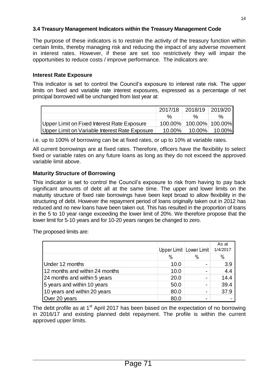#### **3.4 Treasury Management Indicators within the Treasury Management Code**

The purpose of these indicators is to restrain the activity of the treasury function within certain limits, thereby managing risk and reducing the impact of any adverse movement in interest rates. However, if these are set too restrictively they will impair the opportunities to reduce costs / improve performance*.* The indicators are:

#### **Interest Rate Exposure**

This indicator is set to control the Council's exposure to interest rate risk. The upper limits on fixed and variable rate interest exposures, expressed as a percentage of net principal borrowed will be unchanged from last year at:

|                                                |           | 2017/18 2018/19 2019/20 |               |
|------------------------------------------------|-----------|-------------------------|---------------|
|                                                | %         | $\frac{0}{6}$           | $\%$          |
| Upper Limit on Fixed Interest Rate Exposure    |           | 100.00% 100.00% 100.00% |               |
| Upper Limit on Variable Interest Rate Exposure | $10.00\%$ |                         | 10.00% 10.00% |

i.e. up to 100% of borrowing can be at fixed rates, or up to 10% at variable rates.

All current borrowings are at fixed rates. Therefore, officers have the flexibility to select fixed or variable rates on any future loans as long as they do not exceed the approved variable limit above.

# **Maturity Structure of Borrowing**

This indicator is set to control the Council's exposure to risk from having to pay back significant amounts of debt all at the same time. The upper and lower limits on the maturity structure of fixed rate borrowings have been kept broad to allow flexibility in the structuring of debt. However the repayment period of loans originally taken out in 2012 has reduced and no new loans have been taken out. This has resulted in the proportion of loans in the 5 to 10 year range exceeding the lower limit of 20%. We therefore propose that the lower limit for 5-10 years and for 10-20 years ranges be changed to zero.

The proposed limits are:

|                                |               | Upper Limit   Lower Limit | As at<br>1/4/2017 |
|--------------------------------|---------------|---------------------------|-------------------|
|                                | $\frac{0}{0}$ | $\%$                      | %                 |
| Under 12 months                | 10.0          |                           | 3.9               |
| 12 months and within 24 months | 10.0          |                           | 4.4               |
| 24 months and within 5 years   | 20.0          |                           | 14.4              |
| 5 years and within 10 years    | 50.0          |                           | 39.4              |
| 10 years and within 20 years   | 80.0          |                           | 37.9              |
| Over 20 years                  | 80.0          |                           |                   |

The debt profile as at  $1<sup>st</sup>$  April 2017 has been based on the expectation of no borrowing in 2016/17 and existing planned debt repayment. The profile is within the current approved upper limits.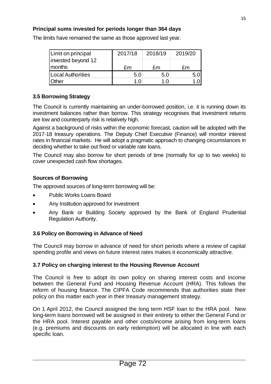#### **Principal sums invested for periods longer than 364 days**

| Limit on principal           | 2017/18 | 2018/19 | 2019/20 |
|------------------------------|---------|---------|---------|
| invested beyond 12<br>months | £m      | £m      | £m      |
| Local Authorities            | 5.0     | 5.0     |         |
| <b>Other</b>                 | 1 በ     |         |         |

The limits have remained the same as those approved last year.

#### **3.5 Borrowing Strategy**

The Council is currently maintaining an under-borrowed position, i.e. it is running down its investment balances rather than borrow. This strategy recognises that investment returns are low and counterparty risk is relatively high.

Against a background of risks within the economic forecast, caution will be adopted with the 2017-18 treasury operations. The Deputy Chief Executive (Finance) will monitor interest rates in financial markets. He will adopt a pragmatic approach to changing circumstances in deciding whether to take out fixed or variable rate loans.

The Council may also borrow for short periods of time (normally for up to two weeks) to cover unexpected cash flow shortages.

#### **Sources of Borrowing**

The approved sources of long-term borrowing will be:

- Public Works Loans Board
- Any Institution approved for investment
- Any Bank or Building Society approved by the Bank of England Prudential Regulation Authority.

#### **3.6 Policy on Borrowing in Advance of Need**

The Council may borrow in advance of need for short periods where a review of capital spending profile and views on future interest rates makes it economically attractive.

#### **3.7 Policy on charging interest to the Housing Revenue Account**

The Council is free to adopt its own policy on sharing interest costs and income between the General Fund and Housing Revenue Account (HRA). This follows the reform of housing finance. The CIPFA Code recommends that authorities state their policy on this matter each year in their treasury management strategy.

On 1 April 2012, the Council assigned the long term HSF loan to the HRA pool. New long-term loans borrowed will be assigned in their entirety to either the General Fund or the HRA pool. Interest payable and other costs/income arising from long-term loans (e.g. premiums and discounts on early redemption) will be allocated in line with each specific loan.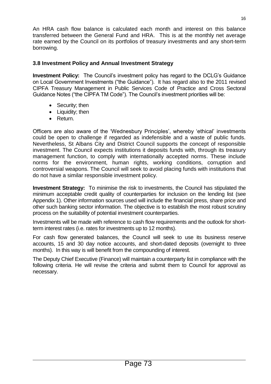An HRA cash flow balance is calculated each month and interest on this balance transferred between the General Fund and HRA. This is at the monthly net average rate earned by the Council on its portfolios of treasury investments and any short-term borrowing.

# **3.8 Investment Policy and Annual Investment Strategy**

**Investment Policy:** The Council's investment policy has regard to the DCLG's Guidance on Local Government Investments ("the Guidance"). It has regard also to the 2011 revised CIPFA Treasury Management in Public Services Code of Practice and Cross Sectoral Guidance Notes ("the CIPFA TM Code"). The Council's investment priorities will be:

- Security; then
- Liquidity; then
- Return.

Officers are also aware of the 'Wednesbury Principles', whereby 'ethical' investments could be open to challenge if regarded as indefensible and a waste of public funds. Nevertheless, St Albans City and District Council supports the concept of responsible investment. The Council expects institutions it deposits funds with, through its treasury management function, to comply with internationally accepted norms. These include norms for the environment, human rights, working conditions, corruption and controversial weapons. The Council will seek to avoid placing funds with institutions that do not have a similar responsible investment policy.

**Investment Strategy:** To minimise the risk to investments, the Council has stipulated the minimum acceptable credit quality of counterparties for inclusion on the lending list (see Appendix 1). Other information sources used will include the financial press, share price and other such banking sector information. The objective is to establish the most robust scrutiny process on the suitability of potential investment counterparties.

Investments will be made with reference to cash flow requirements and the outlook for shortterm interest rates (i.e. rates for investments up to 12 months).

For cash flow generated balances, the Council will seek to use its business reserve accounts, 15 and 30 day notice accounts, and short-dated deposits (overnight to three months). In this way is will benefit from the compounding of interest.

The Deputy Chief Executive (Finance) will maintain a counterparty list in compliance with the following criteria. He will revise the criteria and submit them to Council for approval as necessary.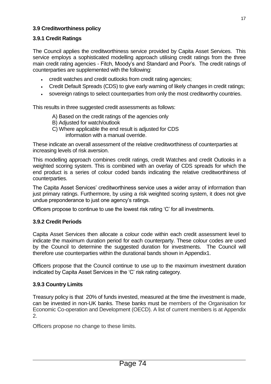#### **3.9 Creditworthiness policy**

#### **3.9.1 Credit Ratings**

The Council applies the creditworthiness service provided by Capita Asset Services. This service employs a sophisticated modelling approach utilising credit ratings from the three main credit rating agencies - Fitch, Moody's and Standard and Poor's. The credit ratings of counterparties are supplemented with the following:

- credit watches and credit outlooks from credit rating agencies;
- Credit Default Spreads (CDS) to give early warning of likely changes in credit ratings;
- sovereign ratings to select counterparties from only the most creditworthy countries.

This results in three suggested credit assessments as follows:

- A) Based on the credit ratings of the agencies only
- B) Adjusted for watch/outlook
- C) Where applicable the end result is adjusted for CDS information with a manual override.

These indicate an overall assessment of the relative creditworthiness of counterparties at increasing levels of risk aversion.

This modelling approach combines credit ratings, credit Watches and credit Outlooks in a weighted scoring system. This is combined with an overlay of CDS spreads for which the end product is a series of colour coded bands indicating the relative creditworthiness of counterparties.

The Capita Asset Services' creditworthiness service uses a wider array of information than just primary ratings. Furthermore, by using a risk weighted scoring system, it does not give undue preponderance to just one agency's ratings.

Officers propose to continue to use the lowest risk rating 'C' for all investments.

#### **3.9.2 Credit Periods**

Capita Asset Services then allocate a colour code within each credit assessment level to indicate the maximum duration period for each counterparty. These colour codes are used by the Council to determine the suggested duration for investments. The Council will therefore use counterparties within the durational bands shown in Appendix1.

Officers propose that the Council continue to use up to the maximum investment duration indicated by Capita Asset Services in the 'C' risk rating category.

#### **3.9.3 Country Limits**

Treasury policy is that 20% of funds invested, measured at the time the investment is made, can be invested in non-UK banks. These banks must be members of the Organisation for Economic Co-operation and Development (OECD). A list of current members is at Appendix 2.

Officers propose no change to these limits.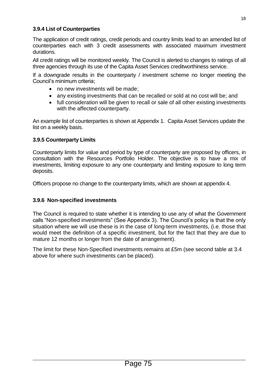#### **3.9.4 List of Counterparties**

The application of credit ratings, credit periods and country limits lead to an amended list of counterparties each with 3 credit assessments with associated maximum investment durations.

All credit ratings will be monitored weekly*.* The Council is alerted to changes to ratings of all three agencies through its use of the Capita Asset Services creditworthiness service.

If a downgrade results in the counterparty / investment scheme no longer meeting the Council's minimum criteria;

- no new investments will be made;
- any existing investments that can be recalled or sold at no cost will be; and
- full consideration will be given to recall or sale of all other existing investments with the affected counterparty.

An example list of counterparties is shown at Appendix 1. Capita Asset Services update the list on a weekly basis.

#### **3.9.5 Counterparty Limits**

Counterparty limits for value and period by type of counterparty are proposed by officers, in consultation with the Resources Portfolio Holder. The objective is to have a mix of investments, limiting exposure to any one counterparty and limiting exposure to long term deposits.

Officers propose no change to the counterparty limits, which are shown at appendix 4.

#### **3.9.6 Non-specified investments**

The Council is required to state whether it is intending to use any of what the Government calls "Non-specified investments" (See Appendix 3). The Council's policy is that the only situation where we will use these is in the case of long-term investments, (i.e. those that would meet the definition of a specific investment, but for the fact that they are due to mature 12 months or longer from the date of arrangement).

The limit for these Non-Specified investments remains at £5m (see second table at 3.4 above for where such investments can be placed).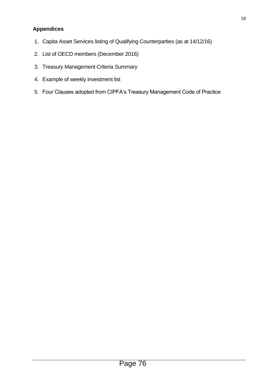# **Appendices**

- 1. Capita Asset Services listing of Qualifying Counterparties (as at 14/12/16)
- 2. List of OECD members (December 2016)
- 3. Treasury Management Criteria Summary
- 4. Example of weekly investment list
- 5. Four Clauses adopted from CIPFA's Treasury Management Code of Practice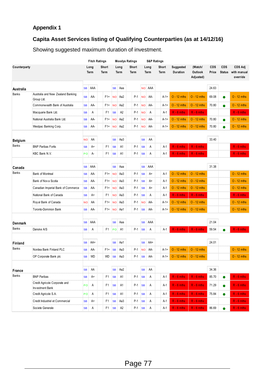# **Appendix 1**

# **Capita Asset Services listing of Qualifying Counterparties (as at 14/12/16)**

Showing suggested maximum duration of investment.

|                        |                                                  |           |              | <b>Fitch Ratings</b> |                         |                     | <b>Moodys Ratings</b> |           |              | <b>S&amp;P Ratings</b> |                       |                                 |                     |                      |                                           |
|------------------------|--------------------------------------------------|-----------|--------------|----------------------|-------------------------|---------------------|-----------------------|-----------|--------------|------------------------|-----------------------|---------------------------------|---------------------|----------------------|-------------------------------------------|
| Counterparty           |                                                  |           | Long<br>Term | Short<br>Term        |                         | Long<br>Term        | Short<br>Term         |           | Long<br>Term | Short<br>Term          | Suggested<br>Duration | (Watch/<br>Outlook<br>Adjusted) | <b>CDS</b><br>Price | CDS<br><b>Status</b> | <b>CDS Adj</b><br>with manual<br>override |
| Australia              |                                                  | <b>SB</b> | AAA          |                      | <b>SB</b>               | Aaa                 |                       |           | NO AAA       |                        |                       |                                 | 24.63               |                      |                                           |
| <b>Banks</b>           | Australia and New Zealand Banking<br>Group Ltd.  | <b>SB</b> | AA-          | $F1+$                | <b>NO</b>               | Aa2                 | $P-1$                 |           | NO AA-       | A-1+                   | $O - 12$ mths         | $O - 12$ mths                   | 69.08               |                      | $O - 12$ mths                             |
|                        | Commonwealth Bank of Australia                   | <b>SB</b> | AA-          | $F1+$                | <b>NO</b>               | Aa2                 | P-1                   | <b>NO</b> | AA-          | $A-1+$                 | $O - 12$ mths         | $O - 12$ mths                   | 70.80               | ●                    | $O - 12$ mths                             |
|                        | Macquarie Bank Ltd.                              | <b>SB</b> | Α            | F1                   | <b>SB</b>               | A <sub>2</sub>      | $P-1$                 | <b>NO</b> | A            | A-1                    | $R - 6$ mths          | $R - 6$ mths                    |                     |                      | $R - 6$ mths                              |
|                        | National Australia Bank Ltd.                     | <b>SB</b> | AA-          | F1+                  | NO <sub>1</sub>         | Aa2                 | P-1                   |           | NO AA-       | $A - 1 +$              | $O - 12$ mths         | $O - 12$ mths                   | 70.80               |                      | $O - 12$ mths                             |
|                        | Westpac Banking Corp.                            | <b>SB</b> | AA-          | F1+                  | <b>NO</b>               | Aa2                 | P-1                   | <b>NO</b> | AA-          | $A-1+$                 | $O - 12$ mths         | $O - 12$ mths                   | 70.80               |                      | $O - 12$ mths                             |
| Belgium                |                                                  | <b>NO</b> | AA           |                      | $\sim$ $-$<br><b>SB</b> | Aa3                 |                       | <b>SB</b> | AA           |                        |                       |                                 | 33.40               |                      |                                           |
| Banks                  | <b>BNP Paribas Fortis</b>                        | <b>SB</b> | A+           | F1                   | <b>SB</b>               | A1                  | $P-1$                 | <b>SB</b> | Α            | A-1                    | $R - 6$ mths          | $R - 6$ mths                    |                     |                      | $R - 6$ mths                              |
|                        | KBC Bank N.V.                                    | PO        | А-           | F1                   | <b>SB</b>               | A1                  | $P-1$                 | <b>SB</b> | Α            | A-1                    | $R - 6$ mths          | $R - 6$ mths                    |                     |                      | $R - 6$ mths                              |
|                        |                                                  |           |              |                      |                         |                     |                       |           |              |                        |                       |                                 |                     |                      |                                           |
| Canada<br><b>Banks</b> |                                                  | <b>SB</b> | AAA          |                      | <b>SB</b>               | Aaa                 |                       | <b>SB</b> | AAA          |                        |                       |                                 | 31.38               |                      |                                           |
|                        | <b>Bank of Montreal</b>                          | <b>SB</b> | AA-          | $F1+$                | <b>NO</b>               | Aa3                 | $P-1$                 | <b>SB</b> | $A+$         | A-1                    | $O - 12$ mths         | $O - 12$ mths                   |                     |                      | $O - 12$ mths                             |
|                        | Bank of Nov a Scotia                             | <b>SB</b> | AA-          | F <sub>1+</sub>      | <b>NO</b>               | Aa3                 | $P-1$                 | <b>SB</b> | A+           | A-1                    | $O - 12$ mths         | $O - 12$ mths                   |                     |                      | $O - 12$ mths                             |
|                        | Canadian Imperial Bank of Commerce               | <b>SB</b> | AA-          |                      | $F1+$ NO                | Аа3                 | P-1                   | <b>SB</b> | A+           | A-1                    | $O - 12$ mths         | $O - 12$ mths                   |                     |                      | $O - 12$ mths                             |
|                        | National Bank of Canada                          | <b>SB</b> | A+           | F1                   | <b>NO</b>               | Aa3                 | $P-1$                 | <b>SB</b> | A            | A-1                    | $R - 6$ mths          | $R - 6$ mths                    |                     |                      | $R - 6$ mths                              |
|                        | Roy al Bank of Canada                            | <b>NO</b> | AA           | F <sub>1+</sub>      | NO <sub>1</sub>         | Aa3                 | $P-1$                 | <b>NO</b> | AA-          | $A-1+$                 | $O - 12$ mths         | $O - 12$ mths                   |                     |                      | $O - 12$ mths                             |
|                        | Toronto-Dominion Bank                            | <b>SB</b> | AA-          | $F1+$                |                         | NO Aa1              | P-1                   | <b>SB</b> | AA-          | A-1+                   | $O - 12$ mths         | $O - 12$ mths                   |                     |                      | $O - 12$ mths                             |
| Denmark                |                                                  | <b>SB</b> | AAA          |                      | <b>SB</b>               | Aaa                 |                       | <b>SB</b> | AAA          |                        |                       |                                 | .<br>21.04          |                      |                                           |
| Banks                  | Danske A/S                                       | <b>SB</b> | Α            | F1                   | <b>PO</b>               | - A1                | $P-1$                 | <b>SB</b> | Α            | $A-1$                  | $R - 6$ mths          | $R - 6$ mths                    | 59.54               |                      | $R - 6$ mths                              |
| Finland                |                                                  | <b>SB</b> | AA+          |                      | <b>SB</b>               | Aa1                 |                       | <b>SB</b> | AA+          |                        |                       |                                 | 24.01               |                      |                                           |
| <b>Banks</b>           | Nordea Bank Finland PLC                          | <b>SB</b> | AA-          | F <sub>1+</sub>      | <b>SB</b>               | Aa3                 | $P-1$                 | <b>NO</b> | AA-          | $A - 1 +$              | $O - 12$ mths         | $O - 12$ mths                   |                     |                      | $O - 12$ mths                             |
|                        | OP Corporate Bank plc                            | <b>SB</b> | <b>WD</b>    | WD                   | <b>SB</b>               | Aa3                 | P-1                   | <b>SB</b> | AA-          | $A-1+$                 | $O - 12$ mths         | $O - 12$ mths                   |                     |                      | $O - 12$ mths                             |
| France                 |                                                  | <b>SB</b> | .<br>AA      |                      | <b>SB</b>               | ,,,,,,,,,,,,<br>Aa2 |                       | <b>SB</b> | .<br>AA      |                        |                       |                                 | .<br>34.36          |                      |                                           |
| Banks                  | <b>BNP Paribas</b>                               | <b>SB</b> | A+           | F1                   | <b>SB</b>               | A1                  | P-1                   | <b>SB</b> | Α            | A-1                    | $R - 6$ mths          | $R - 6$ mths                    | 85.70               |                      | $R - 6$ mths                              |
|                        | Credit Agricole Corporate and<br>Investment Bank | PO:       | A            | F1                   | <b>SB</b>               | A1                  | P-1                   | <b>SB</b> | Α            | A-1                    | $R - 6$ mths          | $R - 6$ mths                    | 71.29               |                      | $R - 6$ mths                              |
|                        | Credit Agricole S.A.                             | PO        | A            | F1                   | <b>SB</b>               | A1                  | P-1                   | <b>SB</b> | Α            | $A-1$                  | $R - 6$ mths          | $R - 6$ mths                    | 75.84               |                      | $R - 6$ mths                              |
|                        | Credit Industriel et Commercial                  | <b>SB</b> | A+           | F1                   | <b>SB</b>               | Aa3                 |                       | $P-1$ SB  | Α            | A-1                    | $R - 6$ mths          | $R - 6$ mths                    |                     |                      | $R - 6$ mths                              |
|                        | Societe Generale                                 | <b>SB</b> | Α            | F1                   | <b>SB</b>               | A2                  |                       | $P-1$ SB  | Α            | A-1                    | $R - 6$ mths          | $R - 6$ mths                    | 86.69               |                      | $R - 6$ mths                              |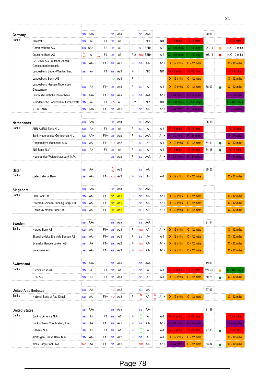| 20.06<br>AAA<br>AAA<br><b>SB</b><br><b>SB</b><br>Aaa<br><b>SB</b><br>Germany<br><b>Banks</b><br>$P-1$<br>$R - 6$ mths<br>$R - 6$ mths<br><b>BayernLB</b><br>А-<br>F1<br><b>NR</b><br>NR.<br><b>SB</b><br><b>SB</b><br>A1<br>Commerzbank AG<br>BBB+<br>F <sub>2</sub><br>A <sub>2</sub><br>$P-1$<br>BBB+<br>$A-2$<br>G - 100 days<br>G - 100 days<br>120.14<br><b>SB</b><br><b>SB</b><br><b>SB</b><br>$\bullet$<br>N<br>N<br>Deutsche Bank AG<br>А-<br>F1<br>A <sub>3</sub><br>$P-2$<br>BBB+<br>$A-2$<br>3 - 100 days<br>G - 100 days<br>195.15<br><b>SB</b><br>ΝO<br>●<br>W<br>W<br>DZ BANK AG Deutsche Zentral-<br>$O - 12$ mths<br>$O - 12$ mths<br>AA-<br>F1+<br>$P-1$<br>AA-<br><b>SB</b><br><b>SB</b><br>Aa1<br><b>SB</b><br>A-1+<br>Genossenschaftsbank<br>$R - 6$ mths<br>$R - 6$ mths<br>Landesbank Baden-Wuerttemberg<br>F <sub>1</sub><br>$P-1$<br>NR.<br><b>SB</b><br>А-<br><b>SB</b><br>Aa3<br>ΝR<br>Landesbank Berlin AG<br>$P-1$<br>$O - 12$ mths<br>PO<br>Аа3<br>$O - 12$ mths<br>Landesbank Hessen-Thueringen<br>$O - 12$ mths<br>$O - 12$ mths<br><b>SB</b><br>Aa3<br>$P-1$<br>A-1<br>58.00<br><b>SB</b><br>$F1+$<br><b>SB</b><br>Α<br>A+<br>e<br>Girozentrale<br>$P - 24$ mths<br>$P - 24$ mths<br>Landwirtschaftliche Rentenbank<br>$F1+$ SB<br>$P-1$<br><b>SB</b><br>AAA<br>$A-1+$<br><b>SB</b><br>AAA<br>Aaa<br>$P-2$<br><b>NR</b><br>G - 100 days<br>Norddeutsche Landesbank Girozentrale<br><b>SB</b><br>A-<br>F <sub>1</sub><br><b>NO</b><br>A <sub>3</sub><br>NR.<br>G - 100 days<br>NRW.BANK<br>AAA<br>$F1+$<br><b>SB</b><br>P-1<br><b>SB</b><br>AA-<br>$P - 24$ mths<br>$P - 24$ mths<br><b>SB</b><br>Aa1<br>A-1+<br>25.49<br>AAA<br>AAA<br><b>SB</b><br>Aaa<br><b>SB</b><br><b>SB</b><br><b>Netherlands</b><br><b>Banks</b><br>ABN AMRO Bank N.V.<br>$P-1$<br>$R - 6$ mths<br>$R - 6$ mths<br>F <sub>1</sub><br>A <sub>1</sub><br>A-1<br>A+<br><b>SB</b><br><b>SB</b><br>Α<br><b>SB</b><br>$P - 24$ mths<br>$P - 24$ mths<br>Bank Nederlandse Gemeenten N.V.<br><b>SB</b><br>AA+<br>F1+<br><b>SB</b><br>Aaa<br>$P-1$<br><b>SB</b><br>AAA<br>$A-1+$<br>$O - 12$ mths<br>Cooperatiev e Rabobank U.A.<br>$F1+$<br>Aa2<br>$P-1$<br>$O - 12$ mths<br>64.41<br><b>SB</b><br>AA-<br><b>NO</b><br><b>SB</b><br>A+<br>A-1<br>$\bullet$<br>ING Bank N.V.<br>F1<br><b>SB</b><br>$P-1$<br>$R - 6$ mths<br>$R - 6$ mths<br>64.45<br><b>SB</b><br>A+<br>A1<br><b>SB</b><br>Α<br>A-1<br>$P - 24$ mths<br>$P - 24$ mths<br>Nederlandse Waterschapsbank N.V.<br>$P-1$<br><b>SB</b><br>AAA<br><b>SB</b><br>Aaa<br>A-1+<br>N<br>88.20<br>Aa2<br>AA<br>AA<br><b>SB</b><br><b>SB</b><br>Qatar<br>W | $R - 6$ mths<br>$N/C - 0$ mths<br>$N/C - 0$ mths<br>$O - 12$ mths<br>$R - 6$ mths<br>$O - 12$ mths<br>$O - 12$ mths<br>$P - 24$ mths<br>G - 100 day s<br>$P - 24$ mths<br>$R - 6$ mths<br>$P - 24$ mths<br>$O - 12$ mths<br>$R - 6$ mths<br>$P - 24$ mths |
|-----------------------------------------------------------------------------------------------------------------------------------------------------------------------------------------------------------------------------------------------------------------------------------------------------------------------------------------------------------------------------------------------------------------------------------------------------------------------------------------------------------------------------------------------------------------------------------------------------------------------------------------------------------------------------------------------------------------------------------------------------------------------------------------------------------------------------------------------------------------------------------------------------------------------------------------------------------------------------------------------------------------------------------------------------------------------------------------------------------------------------------------------------------------------------------------------------------------------------------------------------------------------------------------------------------------------------------------------------------------------------------------------------------------------------------------------------------------------------------------------------------------------------------------------------------------------------------------------------------------------------------------------------------------------------------------------------------------------------------------------------------------------------------------------------------------------------------------------------------------------------------------------------------------------------------------------------------------------------------------------------------------------------------------------------------------------------------------------------------------------------------------------------------------------------------------------------------------------------------------------------------------------------------------------------------------------------------------------------------------------------------------------------------------------------------------------------------------------------------------------------------------------------------------------------------------------------------------------------------|-----------------------------------------------------------------------------------------------------------------------------------------------------------------------------------------------------------------------------------------------------------|
|                                                                                                                                                                                                                                                                                                                                                                                                                                                                                                                                                                                                                                                                                                                                                                                                                                                                                                                                                                                                                                                                                                                                                                                                                                                                                                                                                                                                                                                                                                                                                                                                                                                                                                                                                                                                                                                                                                                                                                                                                                                                                                                                                                                                                                                                                                                                                                                                                                                                                                                                                                                                           |                                                                                                                                                                                                                                                           |
|                                                                                                                                                                                                                                                                                                                                                                                                                                                                                                                                                                                                                                                                                                                                                                                                                                                                                                                                                                                                                                                                                                                                                                                                                                                                                                                                                                                                                                                                                                                                                                                                                                                                                                                                                                                                                                                                                                                                                                                                                                                                                                                                                                                                                                                                                                                                                                                                                                                                                                                                                                                                           |                                                                                                                                                                                                                                                           |
|                                                                                                                                                                                                                                                                                                                                                                                                                                                                                                                                                                                                                                                                                                                                                                                                                                                                                                                                                                                                                                                                                                                                                                                                                                                                                                                                                                                                                                                                                                                                                                                                                                                                                                                                                                                                                                                                                                                                                                                                                                                                                                                                                                                                                                                                                                                                                                                                                                                                                                                                                                                                           |                                                                                                                                                                                                                                                           |
|                                                                                                                                                                                                                                                                                                                                                                                                                                                                                                                                                                                                                                                                                                                                                                                                                                                                                                                                                                                                                                                                                                                                                                                                                                                                                                                                                                                                                                                                                                                                                                                                                                                                                                                                                                                                                                                                                                                                                                                                                                                                                                                                                                                                                                                                                                                                                                                                                                                                                                                                                                                                           |                                                                                                                                                                                                                                                           |
|                                                                                                                                                                                                                                                                                                                                                                                                                                                                                                                                                                                                                                                                                                                                                                                                                                                                                                                                                                                                                                                                                                                                                                                                                                                                                                                                                                                                                                                                                                                                                                                                                                                                                                                                                                                                                                                                                                                                                                                                                                                                                                                                                                                                                                                                                                                                                                                                                                                                                                                                                                                                           |                                                                                                                                                                                                                                                           |
|                                                                                                                                                                                                                                                                                                                                                                                                                                                                                                                                                                                                                                                                                                                                                                                                                                                                                                                                                                                                                                                                                                                                                                                                                                                                                                                                                                                                                                                                                                                                                                                                                                                                                                                                                                                                                                                                                                                                                                                                                                                                                                                                                                                                                                                                                                                                                                                                                                                                                                                                                                                                           |                                                                                                                                                                                                                                                           |
|                                                                                                                                                                                                                                                                                                                                                                                                                                                                                                                                                                                                                                                                                                                                                                                                                                                                                                                                                                                                                                                                                                                                                                                                                                                                                                                                                                                                                                                                                                                                                                                                                                                                                                                                                                                                                                                                                                                                                                                                                                                                                                                                                                                                                                                                                                                                                                                                                                                                                                                                                                                                           |                                                                                                                                                                                                                                                           |
|                                                                                                                                                                                                                                                                                                                                                                                                                                                                                                                                                                                                                                                                                                                                                                                                                                                                                                                                                                                                                                                                                                                                                                                                                                                                                                                                                                                                                                                                                                                                                                                                                                                                                                                                                                                                                                                                                                                                                                                                                                                                                                                                                                                                                                                                                                                                                                                                                                                                                                                                                                                                           |                                                                                                                                                                                                                                                           |
|                                                                                                                                                                                                                                                                                                                                                                                                                                                                                                                                                                                                                                                                                                                                                                                                                                                                                                                                                                                                                                                                                                                                                                                                                                                                                                                                                                                                                                                                                                                                                                                                                                                                                                                                                                                                                                                                                                                                                                                                                                                                                                                                                                                                                                                                                                                                                                                                                                                                                                                                                                                                           |                                                                                                                                                                                                                                                           |
|                                                                                                                                                                                                                                                                                                                                                                                                                                                                                                                                                                                                                                                                                                                                                                                                                                                                                                                                                                                                                                                                                                                                                                                                                                                                                                                                                                                                                                                                                                                                                                                                                                                                                                                                                                                                                                                                                                                                                                                                                                                                                                                                                                                                                                                                                                                                                                                                                                                                                                                                                                                                           |                                                                                                                                                                                                                                                           |
|                                                                                                                                                                                                                                                                                                                                                                                                                                                                                                                                                                                                                                                                                                                                                                                                                                                                                                                                                                                                                                                                                                                                                                                                                                                                                                                                                                                                                                                                                                                                                                                                                                                                                                                                                                                                                                                                                                                                                                                                                                                                                                                                                                                                                                                                                                                                                                                                                                                                                                                                                                                                           |                                                                                                                                                                                                                                                           |
|                                                                                                                                                                                                                                                                                                                                                                                                                                                                                                                                                                                                                                                                                                                                                                                                                                                                                                                                                                                                                                                                                                                                                                                                                                                                                                                                                                                                                                                                                                                                                                                                                                                                                                                                                                                                                                                                                                                                                                                                                                                                                                                                                                                                                                                                                                                                                                                                                                                                                                                                                                                                           |                                                                                                                                                                                                                                                           |
|                                                                                                                                                                                                                                                                                                                                                                                                                                                                                                                                                                                                                                                                                                                                                                                                                                                                                                                                                                                                                                                                                                                                                                                                                                                                                                                                                                                                                                                                                                                                                                                                                                                                                                                                                                                                                                                                                                                                                                                                                                                                                                                                                                                                                                                                                                                                                                                                                                                                                                                                                                                                           |                                                                                                                                                                                                                                                           |
|                                                                                                                                                                                                                                                                                                                                                                                                                                                                                                                                                                                                                                                                                                                                                                                                                                                                                                                                                                                                                                                                                                                                                                                                                                                                                                                                                                                                                                                                                                                                                                                                                                                                                                                                                                                                                                                                                                                                                                                                                                                                                                                                                                                                                                                                                                                                                                                                                                                                                                                                                                                                           |                                                                                                                                                                                                                                                           |
|                                                                                                                                                                                                                                                                                                                                                                                                                                                                                                                                                                                                                                                                                                                                                                                                                                                                                                                                                                                                                                                                                                                                                                                                                                                                                                                                                                                                                                                                                                                                                                                                                                                                                                                                                                                                                                                                                                                                                                                                                                                                                                                                                                                                                                                                                                                                                                                                                                                                                                                                                                                                           |                                                                                                                                                                                                                                                           |
|                                                                                                                                                                                                                                                                                                                                                                                                                                                                                                                                                                                                                                                                                                                                                                                                                                                                                                                                                                                                                                                                                                                                                                                                                                                                                                                                                                                                                                                                                                                                                                                                                                                                                                                                                                                                                                                                                                                                                                                                                                                                                                                                                                                                                                                                                                                                                                                                                                                                                                                                                                                                           |                                                                                                                                                                                                                                                           |
|                                                                                                                                                                                                                                                                                                                                                                                                                                                                                                                                                                                                                                                                                                                                                                                                                                                                                                                                                                                                                                                                                                                                                                                                                                                                                                                                                                                                                                                                                                                                                                                                                                                                                                                                                                                                                                                                                                                                                                                                                                                                                                                                                                                                                                                                                                                                                                                                                                                                                                                                                                                                           |                                                                                                                                                                                                                                                           |
|                                                                                                                                                                                                                                                                                                                                                                                                                                                                                                                                                                                                                                                                                                                                                                                                                                                                                                                                                                                                                                                                                                                                                                                                                                                                                                                                                                                                                                                                                                                                                                                                                                                                                                                                                                                                                                                                                                                                                                                                                                                                                                                                                                                                                                                                                                                                                                                                                                                                                                                                                                                                           |                                                                                                                                                                                                                                                           |
|                                                                                                                                                                                                                                                                                                                                                                                                                                                                                                                                                                                                                                                                                                                                                                                                                                                                                                                                                                                                                                                                                                                                                                                                                                                                                                                                                                                                                                                                                                                                                                                                                                                                                                                                                                                                                                                                                                                                                                                                                                                                                                                                                                                                                                                                                                                                                                                                                                                                                                                                                                                                           |                                                                                                                                                                                                                                                           |
| Banks<br>$O - 12$ mths<br>$O - 12$ mths<br>Qatar National Bank<br>AA-<br>$F1+ NO $<br>АаЗ<br>$P-1$<br><b>SB</b><br>A+<br>$A-1$<br><b>SB</b>                                                                                                                                                                                                                                                                                                                                                                                                                                                                                                                                                                                                                                                                                                                                                                                                                                                                                                                                                                                                                                                                                                                                                                                                                                                                                                                                                                                                                                                                                                                                                                                                                                                                                                                                                                                                                                                                                                                                                                                                                                                                                                                                                                                                                                                                                                                                                                                                                                                               | $O - 12$ mths                                                                                                                                                                                                                                             |
|                                                                                                                                                                                                                                                                                                                                                                                                                                                                                                                                                                                                                                                                                                                                                                                                                                                                                                                                                                                                                                                                                                                                                                                                                                                                                                                                                                                                                                                                                                                                                                                                                                                                                                                                                                                                                                                                                                                                                                                                                                                                                                                                                                                                                                                                                                                                                                                                                                                                                                                                                                                                           |                                                                                                                                                                                                                                                           |
| AAA<br>AAA<br><b>SB</b><br>Aaa<br><b>SB</b><br><b>SB</b><br>Singapore                                                                                                                                                                                                                                                                                                                                                                                                                                                                                                                                                                                                                                                                                                                                                                                                                                                                                                                                                                                                                                                                                                                                                                                                                                                                                                                                                                                                                                                                                                                                                                                                                                                                                                                                                                                                                                                                                                                                                                                                                                                                                                                                                                                                                                                                                                                                                                                                                                                                                                                                     |                                                                                                                                                                                                                                                           |
| <b>Banks</b><br>$O - 12$ mths<br>$O - 12$ mths<br>DBS Bank Ltd.<br>$F1+$<br><b>SB</b><br>Aa1<br>$P-1$<br>AA-<br>$A-1+$<br><b>SB</b><br>AA-<br><b>SB</b>                                                                                                                                                                                                                                                                                                                                                                                                                                                                                                                                                                                                                                                                                                                                                                                                                                                                                                                                                                                                                                                                                                                                                                                                                                                                                                                                                                                                                                                                                                                                                                                                                                                                                                                                                                                                                                                                                                                                                                                                                                                                                                                                                                                                                                                                                                                                                                                                                                                   | $O - 12$ mths                                                                                                                                                                                                                                             |
| $O - 12$ mths<br>$O - 12$ mths<br>Oversea-Chinese Banking Corp. Ltd.<br>$F1+$<br><b>SB</b><br>Aa1<br>$P-1$<br><b>SB</b><br><b>SB</b><br>AA-<br>AA-<br>A-1+                                                                                                                                                                                                                                                                                                                                                                                                                                                                                                                                                                                                                                                                                                                                                                                                                                                                                                                                                                                                                                                                                                                                                                                                                                                                                                                                                                                                                                                                                                                                                                                                                                                                                                                                                                                                                                                                                                                                                                                                                                                                                                                                                                                                                                                                                                                                                                                                                                                | $O - 12$ mths                                                                                                                                                                                                                                             |
| United Overseas Bank Ltd.<br><b>SB</b><br>Aa1<br>$P-1$<br><b>SB</b><br>AA-<br>$O - 12$ mths<br>$O - 12$ mths<br><b>SB</b><br>AA-<br>$F1+$<br>A-1+                                                                                                                                                                                                                                                                                                                                                                                                                                                                                                                                                                                                                                                                                                                                                                                                                                                                                                                                                                                                                                                                                                                                                                                                                                                                                                                                                                                                                                                                                                                                                                                                                                                                                                                                                                                                                                                                                                                                                                                                                                                                                                                                                                                                                                                                                                                                                                                                                                                         | $O - 12$ mths                                                                                                                                                                                                                                             |
| 21.54<br>AAA<br>AAA<br><b>SB</b><br><b>SB</b><br>Aaa<br><b>SB</b><br>Sweden                                                                                                                                                                                                                                                                                                                                                                                                                                                                                                                                                                                                                                                                                                                                                                                                                                                                                                                                                                                                                                                                                                                                                                                                                                                                                                                                                                                                                                                                                                                                                                                                                                                                                                                                                                                                                                                                                                                                                                                                                                                                                                                                                                                                                                                                                                                                                                                                                                                                                                                               |                                                                                                                                                                                                                                                           |
| <b>Banks</b><br>$O - 12$ mths<br>Nordea Bank AB<br>$O - 12$ mths<br><b>SB</b><br>AA-<br>$F1+$ SB<br>Aa3<br>P-1<br>NO AA-<br>A-1+                                                                                                                                                                                                                                                                                                                                                                                                                                                                                                                                                                                                                                                                                                                                                                                                                                                                                                                                                                                                                                                                                                                                                                                                                                                                                                                                                                                                                                                                                                                                                                                                                                                                                                                                                                                                                                                                                                                                                                                                                                                                                                                                                                                                                                                                                                                                                                                                                                                                          | $O - 12$ mths                                                                                                                                                                                                                                             |
| $O - 12$ mths<br>$O - 12$ mths<br>Skandinaviska Enskilda Banken AB<br>AA-<br>Aa3<br>$P-1$<br><b>SB</b><br>F1+<br><b>SB</b><br><b>SB</b><br>A+<br>A-1                                                                                                                                                                                                                                                                                                                                                                                                                                                                                                                                                                                                                                                                                                                                                                                                                                                                                                                                                                                                                                                                                                                                                                                                                                                                                                                                                                                                                                                                                                                                                                                                                                                                                                                                                                                                                                                                                                                                                                                                                                                                                                                                                                                                                                                                                                                                                                                                                                                      | $O - 12$ mths                                                                                                                                                                                                                                             |
| $O - 12$ mths<br>$O - 12$ mths<br>Svenska Handelsbanken AB<br>F1+<br>Aa2<br>$P-1$<br>AA-<br>AA<br><b>SB</b><br><b>NO</b><br>A-1+<br><b>SB</b>                                                                                                                                                                                                                                                                                                                                                                                                                                                                                                                                                                                                                                                                                                                                                                                                                                                                                                                                                                                                                                                                                                                                                                                                                                                                                                                                                                                                                                                                                                                                                                                                                                                                                                                                                                                                                                                                                                                                                                                                                                                                                                                                                                                                                                                                                                                                                                                                                                                             | $O - 12$ mths                                                                                                                                                                                                                                             |
| P-1<br>$O - 12$ mths<br>$O - 12$ mths<br>Swedbank AB<br>AA-<br>F1+<br><b>SB</b><br>Aa3<br>AA-<br><b>SB</b><br><b>NO</b><br>A-1+                                                                                                                                                                                                                                                                                                                                                                                                                                                                                                                                                                                                                                                                                                                                                                                                                                                                                                                                                                                                                                                                                                                                                                                                                                                                                                                                                                                                                                                                                                                                                                                                                                                                                                                                                                                                                                                                                                                                                                                                                                                                                                                                                                                                                                                                                                                                                                                                                                                                           | $O - 12$ mths                                                                                                                                                                                                                                             |
|                                                                                                                                                                                                                                                                                                                                                                                                                                                                                                                                                                                                                                                                                                                                                                                                                                                                                                                                                                                                                                                                                                                                                                                                                                                                                                                                                                                                                                                                                                                                                                                                                                                                                                                                                                                                                                                                                                                                                                                                                                                                                                                                                                                                                                                                                                                                                                                                                                                                                                                                                                                                           |                                                                                                                                                                                                                                                           |
| 19.00<br>AAA<br>AAA<br><b>SB</b><br><b>SB</b><br>Aaa<br><b>SB</b><br><b>Switzerland</b>                                                                                                                                                                                                                                                                                                                                                                                                                                                                                                                                                                                                                                                                                                                                                                                                                                                                                                                                                                                                                                                                                                                                                                                                                                                                                                                                                                                                                                                                                                                                                                                                                                                                                                                                                                                                                                                                                                                                                                                                                                                                                                                                                                                                                                                                                                                                                                                                                                                                                                                   |                                                                                                                                                                                                                                                           |
| Banks<br>$R - 6$ mths<br>Credit Suisse AG<br>$R - 6$ mths<br>Α<br>F1<br><b>SB</b><br>A1<br>P-1<br>A-1<br>127.76<br><b>SB</b><br><b>SB</b><br>Α                                                                                                                                                                                                                                                                                                                                                                                                                                                                                                                                                                                                                                                                                                                                                                                                                                                                                                                                                                                                                                                                                                                                                                                                                                                                                                                                                                                                                                                                                                                                                                                                                                                                                                                                                                                                                                                                                                                                                                                                                                                                                                                                                                                                                                                                                                                                                                                                                                                            | G - 100 day s                                                                                                                                                                                                                                             |
| <b>UBS AG</b><br>$O - 12$ mths<br>F1<br>P-1<br>$O - 12$ mths<br>60.71<br><b>SB</b><br><b>SB</b><br>Aa3<br><b>SB</b><br>A-1<br>A+<br>A+                                                                                                                                                                                                                                                                                                                                                                                                                                                                                                                                                                                                                                                                                                                                                                                                                                                                                                                                                                                                                                                                                                                                                                                                                                                                                                                                                                                                                                                                                                                                                                                                                                                                                                                                                                                                                                                                                                                                                                                                                                                                                                                                                                                                                                                                                                                                                                                                                                                                    | $O - 12$ mths                                                                                                                                                                                                                                             |
|                                                                                                                                                                                                                                                                                                                                                                                                                                                                                                                                                                                                                                                                                                                                                                                                                                                                                                                                                                                                                                                                                                                                                                                                                                                                                                                                                                                                                                                                                                                                                                                                                                                                                                                                                                                                                                                                                                                                                                                                                                                                                                                                                                                                                                                                                                                                                                                                                                                                                                                                                                                                           |                                                                                                                                                                                                                                                           |
| 67.97<br>NO Aa2<br><b>SB</b><br>AA<br><b>SB</b><br>AA<br><b>United Arab Emirates</b><br>N<br>N<br>Banks<br>$P-1$                                                                                                                                                                                                                                                                                                                                                                                                                                                                                                                                                                                                                                                                                                                                                                                                                                                                                                                                                                                                                                                                                                                                                                                                                                                                                                                                                                                                                                                                                                                                                                                                                                                                                                                                                                                                                                                                                                                                                                                                                                                                                                                                                                                                                                                                                                                                                                                                                                                                                          |                                                                                                                                                                                                                                                           |
| $O - 12$ mths<br>$O - 12$ mths<br>National Bank of Abu Dhabi<br>$F1+NO$ Aa3<br>AA-<br>$A-1+$<br><b>SB</b><br>AA-<br>W<br>W                                                                                                                                                                                                                                                                                                                                                                                                                                                                                                                                                                                                                                                                                                                                                                                                                                                                                                                                                                                                                                                                                                                                                                                                                                                                                                                                                                                                                                                                                                                                                                                                                                                                                                                                                                                                                                                                                                                                                                                                                                                                                                                                                                                                                                                                                                                                                                                                                                                                                | $O - 12$ mths                                                                                                                                                                                                                                             |
| 21.89<br>AAA<br>AA+<br>Aaa<br><b>SB</b><br><b>SB</b><br><b>SB</b><br><b>United States</b>                                                                                                                                                                                                                                                                                                                                                                                                                                                                                                                                                                                                                                                                                                                                                                                                                                                                                                                                                                                                                                                                                                                                                                                                                                                                                                                                                                                                                                                                                                                                                                                                                                                                                                                                                                                                                                                                                                                                                                                                                                                                                                                                                                                                                                                                                                                                                                                                                                                                                                                 |                                                                                                                                                                                                                                                           |
| P<br>Banks<br>$R - 6$ mths<br>$R - 6$ mths<br>Bank of America N.A.<br>F1<br>P-1<br>$A-1$<br><b>SB</b><br>A+<br><b>SB</b><br>A1<br>Α<br>W                                                                                                                                                                                                                                                                                                                                                                                                                                                                                                                                                                                                                                                                                                                                                                                                                                                                                                                                                                                                                                                                                                                                                                                                                                                                                                                                                                                                                                                                                                                                                                                                                                                                                                                                                                                                                                                                                                                                                                                                                                                                                                                                                                                                                                                                                                                                                                                                                                                                  | $R - 6$ mths                                                                                                                                                                                                                                              |
| $P - 24$ mths<br>$P - 24$ mths<br>$F1+$<br>$P-1$<br><b>SB</b><br>Bank of New York Mellon, The<br><b>SB</b><br>AA<br>:SB<br>Aa1<br>AA-<br>A-1+                                                                                                                                                                                                                                                                                                                                                                                                                                                                                                                                                                                                                                                                                                                                                                                                                                                                                                                                                                                                                                                                                                                                                                                                                                                                                                                                                                                                                                                                                                                                                                                                                                                                                                                                                                                                                                                                                                                                                                                                                                                                                                                                                                                                                                                                                                                                                                                                                                                             | $P - 24$ mths                                                                                                                                                                                                                                             |
| P<br>Citibank N.A.<br>A1<br>$P-1$<br>Α<br>$A-1$<br>$R - 6$ mths<br>$R - 6$ mths<br>77.83<br><b>SB</b><br>A+<br>F1<br><b>SB</b><br>W                                                                                                                                                                                                                                                                                                                                                                                                                                                                                                                                                                                                                                                                                                                                                                                                                                                                                                                                                                                                                                                                                                                                                                                                                                                                                                                                                                                                                                                                                                                                                                                                                                                                                                                                                                                                                                                                                                                                                                                                                                                                                                                                                                                                                                                                                                                                                                                                                                                                       | $R - 6$ mths                                                                                                                                                                                                                                              |
| $O - 12$ mths<br>$O - 12$ mths<br>JPMorgan Chase Bank N.A.<br>Aa2<br>$P-1$<br><b>SB</b><br><b>SB</b><br>AA-<br>F1+<br><b>SB</b><br>A-1<br>A+                                                                                                                                                                                                                                                                                                                                                                                                                                                                                                                                                                                                                                                                                                                                                                                                                                                                                                                                                                                                                                                                                                                                                                                                                                                                                                                                                                                                                                                                                                                                                                                                                                                                                                                                                                                                                                                                                                                                                                                                                                                                                                                                                                                                                                                                                                                                                                                                                                                              | $O - 12$ mths                                                                                                                                                                                                                                             |
| $P - 24$ mths<br>$O - 12$ mths<br>Wells Fargo Bank, NA<br>$F1+$ SB Aa1<br>53.84<br>P-1 NO AA-<br>$A-1+$<br><b>NO</b><br>AA                                                                                                                                                                                                                                                                                                                                                                                                                                                                                                                                                                                                                                                                                                                                                                                                                                                                                                                                                                                                                                                                                                                                                                                                                                                                                                                                                                                                                                                                                                                                                                                                                                                                                                                                                                                                                                                                                                                                                                                                                                                                                                                                                                                                                                                                                                                                                                                                                                                                                | $O - 12$ mths                                                                                                                                                                                                                                             |

21

# Page 78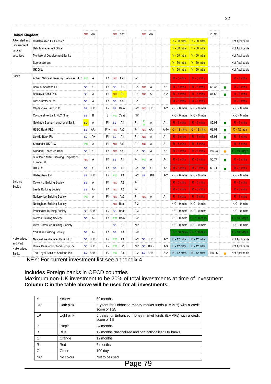|                          |                                                   |                 |             |                |                 |                |           |           |         |        |                    |                    |        | 22        |                |
|--------------------------|---------------------------------------------------|-----------------|-------------|----------------|-----------------|----------------|-----------|-----------|---------|--------|--------------------|--------------------|--------|-----------|----------------|
| <b>United Kingdom</b>    |                                                   |                 | NO AA       |                |                 | NO Aa1         |           | NO.       | AA      |        |                    |                    | 29.95  |           |                |
| AAA rated and            | Collateralised LA Deposit*                        |                 |             |                |                 |                |           |           |         |        | $Y - 60$ mths      | $Y - 60$ mths      |        |           | Not Applicable |
| Gov ernment<br>backed    | Debt Management Office                            |                 |             |                |                 |                |           |           |         |        | $Y - 60$ mths      | $Y - 60$ mths      |        |           | Not Applicable |
| securities               | Multilateral Dev elopment Banks                   |                 |             |                |                 |                |           |           |         |        | $Y - 60$ mths      | $Y - 60$ mths      |        |           | Not Applicable |
|                          | Supranationals                                    |                 |             |                |                 |                |           |           |         |        | $Y - 60$ mths      | $Y - 60$ mths      |        |           | Not Applicable |
|                          | <b>UK Gilts</b>                                   |                 |             |                |                 |                |           |           |         |        | $Y - 60$ mths      | $Y - 60$ mths      |        |           | Not Applicable |
| Banks                    | Abbey National Treasury Services PLC PO           |                 | Α           |                | F1 NO           | Aa3            | $P-1$     |           |         |        | $R - 6$ mths       | $R - 6$ mths       |        |           | $R - 6$ mths   |
|                          | Bank of Scotland PLC                              | SB              | A+          | F <sub>1</sub> | <b>SB</b>       | A1             | $P-1$     | <b>NO</b> | A       | $A-1$  | $R - 6$ mths       | $R - 6$ mths       | 68.35  | $\bullet$ | $R - 6$ mths   |
|                          | Barclays Bank PLC                                 | <b>SB</b>       | Α           | F <sub>1</sub> | <b>NO</b>       | A1             | $P-1$     | <b>NO</b> | A-      | $A-2$  | $R - 6$ mths       | $R - 6$ mths       | 81.62  |           | $R - 6$ mths   |
|                          | Close Brothers Ltd                                | <b>SB</b>       | Α           | F1             | <b>SB</b>       | Aa3            | $P-1$     |           |         |        | $R - 6$ mths       | $R - 6$ mths       |        |           | $R - 6$ mths   |
|                          | Cly desdale Bank PLC                              | <b>SB</b>       | BBB+        | F2             | <b>SB</b>       | Baa2           | $P-2$     |           | NO BBB+ | A-2    | $N/C - 0$ mths     | $N/C - 0$ mths     |        |           | $N/C - 0$ mths |
|                          | Co-operative Bank PLC (The)                       | <b>SB</b>       | В           | B              | PO              | Caa2           | <b>NP</b> |           |         |        | $N/C - 0$ mths     | $N/C - 0$ mths     |        |           | $N/C - 0$ mths |
|                          | Goldman Sachs International Bank                  | <b>SB</b>       | Α           | F1             | <b>SB</b>       | A1             | $P-1$     | P<br>W    | Α       | A-1    | $R - 6$ mths       | $R - 6$ mths       | 89.91  | $\bullet$ | $R - 6$ mths   |
|                          | <b>HSBC Bank PLC</b>                              | <b>SB</b>       | AA-         | $F1+$          | <b>NO</b>       | Aa2            | $P-1$     | <b>NO</b> | AA-     | $A-1+$ | $O - 12$ mths      | $O - 12$ mths      | 68.91  |           | $O - 12$ mths  |
|                          | Lloy ds Bank Plc                                  | <b>SB</b>       | A+          | F1             | <b>SB</b>       | A1             | $P-1$     | <b>NO</b> | A       | $A-1$  | $R - 6$ mths       | $R - 6$ mths       | 68.91  |           | $R - 6$ mths   |
|                          | Santander UK PLC                                  | PO <sub>1</sub> | Α           | F1             | <b>NO</b>       | Aa3            | $P-1$     | <b>NO</b> | A       | A-1    | $R - 6$ mths       | $R - 6$ mths       |        |           | $R - 6$ mths   |
|                          | <b>Standard Chartered Bank</b>                    | <b>SB</b>       | A+          | F1             | <b>NO</b>       | Aa3            | $P-1$     | <b>SB</b> | A       | A-1    | $R - 6$ mths       | $R - 6$ mths       | 115.23 | $\bullet$ | G - 100 days   |
|                          | Sumitomo Mitsui Banking Corporation<br>Europe Ltd | <b>NO</b>       | Α           | F1             | <b>SB</b>       | A1             | $P-1$     | PO        | A       | A-1    | $R - 6$ mths       | $R - 6$ mths       | 55.77  | $\bullet$ | $R - 6$ mths   |
|                          | UBS Ltd.                                          | <b>SB</b>       | A+          | F1             | <b>SB</b>       | A1             | P-1       | <b>SB</b> | A+      | A-1    | $R - 6$ mths       | $R - 6$ mths       | 60.71  | $\bullet$ | $R - 6$ mths   |
|                          | Ulster Bank Ltd                                   | <b>SB</b>       | BBB+        | F2             | PO              | A3             | $P-2$     | <b>SB</b> | BBB     | A-2    | $N/C - 0$ mths     | $N/C - 0$ mths     |        |           | $N/C - 0$ mths |
| <b>Building</b>          | Coventry Building Society                         | <b>SB</b>       | Α           | F1.            | : NO            | A2             | $P-1$     |           |         |        | $R - 6$ mths       | $R - 6$ mths       |        |           | $R - 6$ mths   |
| Society                  | <b>Leeds Building Society</b>                     | <b>SB</b>       | А-          | F1             | <b>NO</b>       | A2             | $P-1$     |           |         |        | $R - 6$ mths       | $R - 6$ mths       |        |           | $R - 6$ mths   |
|                          | Nationwide Building Society                       | PO:             | Α           | F1             | <b>NO</b>       | Aa3            | $P-1$     | <b>NO</b> | A       | A-1    | $R - 6$ mths       | $R - 6$ mths       |        |           | $R - 6$ mths   |
|                          | Nottingham Building Society                       |                 |             |                | <b>NO</b>       | Baa1           | $P-2$     |           |         |        | $N/C - 0$ mths     | $N/C - 0$ mths     |        |           | $N/C - 0$ mths |
|                          | Principality Building Society                     | <b>SB</b>       | BBB+        | F2             | <b>SB</b>       | Baa3           | $P-3$     |           |         |        | $N/C - 0$ mths     | $N/C - 0$ mths     |        |           | $N/C - 0$ mths |
|                          | <b>Skipton Building Society</b>                   | <b>SB</b>       | А-          | F1.            |                 | PO Baa2        | $P-2$     |           |         |        | $N/C - 0$ mths     | G - 100 days       |        |           | G - 100 days   |
|                          | West Bromw ich Building Society                   |                 |             |                | <b>SB</b>       | B <sub>1</sub> | NP        |           |         |        | $N/C - 0$ mths     | $N/C - 0$ mths     |        |           | $N/C - 0$ mths |
|                          | Yorkshire Building Society                        | <b>SB</b>       | A-          | F1             | <b>SB</b>       | A3             | $P-2$     |           |         |        | G - 100 days       | G - 100 days       |        |           | G - 100 days   |
| Nationalised             | National Westminster Bank PLC                     | SB              | BBB+        | F2             | PO              | A <sub>3</sub> | P-2       |           | SB BBB+ | A-2    | <b>B</b> - 12 mths | <b>B</b> - 12 mths |        |           | Not Applicable |
| and Part<br>Nationalised | Roy al Bank of Scotland Group Plc                 | SB              | BBB+        | F <sub>2</sub> | PO <sub>1</sub> | Ba1            | NP        | <b>SB</b> | BBB-    | A-3    | <b>B</b> - 12 mths | <b>B</b> - 12 mths |        |           | Not Applicable |
| Banks                    | The Roy al Bank of Scotland Plc                   |                 | $SB$ $BBB+$ |                | F2 PO           | A <sub>3</sub> | P-2       |           | SB BBB+ | A-2    | $B - 12$ mths      | $B - 12$ mths      | 116.26 |           | Not Applicable |

KEY: For current investment list see appendix 4

#### Includes Foreign banks in OECD countries

Maximum non-UK investment to be 20% of total investments at time of investment **Column C in the table above will be used for all investments.**

| Υ         | Yellow      | 60 months                                                                      |
|-----------|-------------|--------------------------------------------------------------------------------|
| <b>DP</b> | Dark pink   | 5 years for Enhanced money market funds (EMMFs) with a credit<br>score of 1.25 |
| LP        | Light pink  | 5 years for Enhanced money market funds (EMMFs) with a credit<br>score of 1.5  |
| P         | Purple      | 24 months                                                                      |
| B         | <b>Blue</b> | 12 months Nationalised and part nationalised UK banks                          |
| ∩         | Orange      | 12 months                                                                      |
| R         | Red         | 6 months                                                                       |
| G         | Green       | 100 days                                                                       |
| <b>NC</b> | No colour   | Not to be used<br>–<br>--                                                      |

Page 79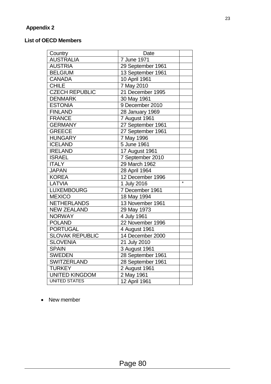#### **Appendix 2**

#### **List of OECD Members**

| Country                | Date              |                   |
|------------------------|-------------------|-------------------|
| <b>AUSTRALIA</b>       | 7 June 1971       |                   |
| <b>AUSTRIA</b>         | 29 September 1961 |                   |
| <b>BELGIUM</b>         | 13 September 1961 |                   |
| <b>CANADA</b>          | 10 April 1961     |                   |
| <b>CHILE</b>           | 7 May 2010        |                   |
| <b>CZECH REPUBLIC</b>  | 21 December 1995  |                   |
| <b>DENMARK</b>         | 30 May 1961       |                   |
| <b>ESTONIA</b>         | 9 December 2010   |                   |
| <b>FINLAND</b>         | 28 January 1969   |                   |
| <b>FRANCE</b>          | 7 August 1961     |                   |
| <b>GERMANY</b>         | 27 September 1961 |                   |
| <b>GREECE</b>          | 27 September 1961 |                   |
| <b>HUNGARY</b>         | 7 May 1996        |                   |
| <b>ICELAND</b>         | 5 June 1961       |                   |
| <b>IRELAND</b>         | 17 August 1961    |                   |
| <b>ISRAEL</b>          | 7 September 2010  |                   |
| <b>ITALY</b>           | 29 March 1962     |                   |
| <b>JAPAN</b>           | 28 April 1964     |                   |
| <b>KOREA</b>           | 12 December 1996  |                   |
| LATVIA                 | 1 July 2016       | $\overline{\ast}$ |
| <b>LUXEMBOURG</b>      | 7 December 1961   |                   |
| <b>MEXICO</b>          | 18 May 1994       |                   |
| <b>NETHERLANDS</b>     | 13 November 1961  |                   |
| <b>NEW ZEALAND</b>     | 29 May 1973       |                   |
| <b>NORWAY</b>          | 4 July 1961       |                   |
| <b>POLAND</b>          | 22 November 1996  |                   |
| <b>PORTUGAL</b>        | 4 August 1961     |                   |
| <b>SLOVAK REPUBLIC</b> | 14 December 2000  |                   |
| <b>SLOVENIA</b>        | 21 July 2010      |                   |
| <b>SPAIN</b>           | 3 August 1961     |                   |
| <b>SWEDEN</b>          | 28 September 1961 |                   |
| <b>SWITZERLAND</b>     | 28 September 1961 |                   |
| <b>TURKEY</b>          | 2 August 1961     |                   |
| <b>UNITED KINGDOM</b>  | 2 May 1961        |                   |
| <b>UNITED STATES</b>   | 12 April 1961     |                   |

• New member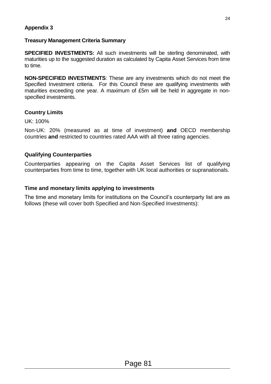#### **Appendix 3**

#### **Treasury Management Criteria Summary**

**SPECIFIED INVESTMENTS:** All such investments will be sterling denominated, with maturities up to the suggested duration as calculated by Capita Asset Services from time to time.

**NON-SPECIFIED INVESTMENTS**: These are any investments which do not meet the Specified Investment criteria. For this Council these are qualifying investments with maturities exceeding one year. A maximum of £5m will be held in aggregate in nonspecified investments.

#### **Country Limits**

UK: 100%

Non-UK: 20% (measured as at time of investment) **and** OECD membership countries **and** restricted to countries rated AAA with all three rating agencies.

#### **Qualifying Counterparties**

Counterparties appearing on the Capita Asset Services list of qualifying counterparties from time to time, together with UK local authorities or supranationals.

#### **Time and monetary limits applying to investments**

The time and monetary limits for institutions on the Council's counterparty list are as follows (these will cover both Specified and Non-Specified Investments):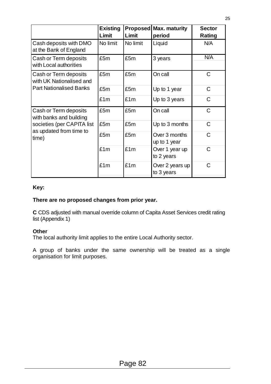|                                                   | <b>Existing</b><br>Limit | Limit    | <b>Proposed Max. maturity</b><br>period | <b>Sector</b><br>Rating |
|---------------------------------------------------|--------------------------|----------|-----------------------------------------|-------------------------|
| Cash deposits with DMO<br>at the Bank of England  | No limit                 | No limit | Liquid                                  | N/A                     |
| Cash or Term deposits<br>with Local authorities   | £5m                      | £5m      | 3 years                                 | N/A                     |
| Cash or Term deposits<br>with UK Nationalised and | £5m                      | £5m      | On call                                 | $\mathsf{C}$            |
| <b>Part Nationalised Banks</b>                    | £5m                      | £5m      | Up to 1 year                            | $\mathsf{C}$            |
|                                                   | £1m                      | £1m      | Up to 3 years                           | C                       |
| Cash or Term deposits<br>with banks and building  | £5m                      | £5m      | On call                                 | $\mathsf C$             |
| societies (per CAPITA list                        | £5m                      | £5m      | Up to 3 months                          | $\mathsf{C}$            |
| as updated from time to<br>time)                  | £5m                      | £5m      | Over 3 months<br>up to 1 year           | $\mathsf{C}$            |
|                                                   | £1m                      | £1m      | Over 1 year up<br>to 2 years            | $\mathsf{C}$            |
|                                                   | £1m                      | £1m      | Over 2 years up<br>to 3 years           | C                       |

#### **Key:**

#### **There are no proposed changes from prior year.**

**C** CDS adjusted with manual override column of Capita Asset Services credit rating list (Appendix 1)

#### **Other**

The local authority limit applies to the entire Local Authority sector.

A group of banks under the same ownership will be treated as a single organisation for limit purposes.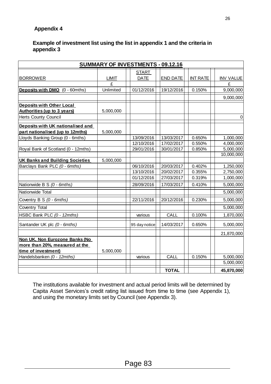#### **Appendix 4**

#### **Example of investment list using the list in appendix 1 and the criteria in appendix 3**

| <b>SUMMARY OF INVESTMENTS - 09.12.16</b> |              |                          |                          |                  |                        |
|------------------------------------------|--------------|--------------------------|--------------------------|------------------|------------------------|
|                                          |              | <b>START</b>             |                          |                  |                        |
| <b>BORROWER</b>                          | <b>LIMIT</b> | <b>DATE</b>              | <b>END DATE</b>          | <b>INT RATE</b>  | <b>INV VALUE</b>       |
|                                          | £            |                          |                          |                  | £                      |
| Deposits with DMO (0 - 60mths)           | Unlimited    | 01/12/2016               | 19/12/2016               | 0.150%           | 9,000,000              |
|                                          |              |                          |                          |                  | 9,000,000              |
| <b>Deposits with Other Local</b>         |              |                          |                          |                  |                        |
| <b>Authorities (up to 3 years)</b>       | 5,000,000    |                          |                          |                  |                        |
| <b>Herts County Council</b>              |              |                          |                          |                  | $\mathbf 0$            |
| Deposits with UK nationalised and        |              |                          |                          |                  |                        |
| part nationalised (up to 12mths)         | 5,000,000    |                          |                          |                  |                        |
| Lloyds Banking Group (0 - 6mths)         |              | 13/09/2016               | 13/03/2017               | 0.650%           | 1,000,000              |
|                                          |              | 12/10/2016               | 17/02/2017               | 0.550%           | 4,000,000              |
| Royal Bank of Scotland (0 - 12mths)      |              | 29/01/2016               | 30/01/2017               | 0.850%           | 5,000,000              |
|                                          |              |                          |                          |                  | 10,000,000             |
| <b>UK Banks and Building Societies</b>   | 5,000,000    |                          |                          |                  |                        |
| Barclays Bank PLC (0 - 6mths)            |              | 06/10/2016               | 20/03/2017               | 0.402%           | 1,250,000              |
|                                          |              | 13/10/2016<br>01/12/2016 | 20/02/2017<br>27/03/2017 | 0.355%<br>0.319% | 2,750,000<br>1,000,000 |
|                                          |              |                          |                          |                  |                        |
| Nationwide B S (0 - 6mths)               |              | 28/09/2016               | 17/03/2017               | 0.410%           | 5,000,000              |
| Nationwide Total                         |              |                          |                          |                  | 5,000,000              |
| Coventry B S (0 - 6mths)                 |              | 22/11/2016               | 20/12/2016               | 0.230%           | 5,000,000              |
| Coventry Total                           |              |                          |                          |                  | 5,000,000              |
| HSBC Bank PLC (0 - 12mths)               |              | various                  | <b>CALL</b>              | 0.100%           | 1,870,000              |
| Santander UK plc (0 - 6mths)             |              | 95 day notice            | 14/03/2017               | 0.650%           | 5,000,000              |
|                                          |              |                          |                          |                  | 21,870,000             |
| Non UK, Non Eurozone Banks (No           |              |                          |                          |                  |                        |
| more than 20%, measured at the           |              |                          |                          |                  |                        |
| time of investment)                      | 5,000,000    |                          |                          |                  |                        |
| Handelsbanken (0 - 12mths)               |              | various                  | <b>CALL</b>              | 0.150%           | 5,000,000              |
|                                          |              |                          |                          |                  | 5,000,000              |
|                                          |              |                          | <b>TOTAL</b>             |                  | 45,870,000             |

The institutions available for investment and actual period limits will be determined by Capita Asset Services's credit rating list issued from time to time (see Appendix 1), and using the monetary limits set by Council (see Appendix 3).